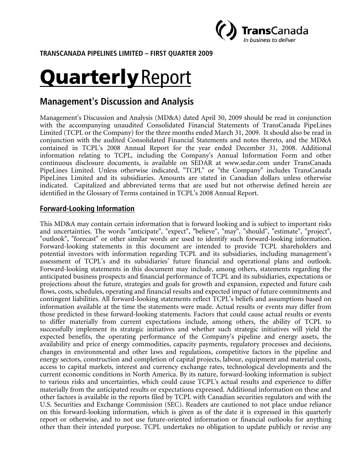

**TRANSCANADA PIPELINES LIMITED – FIRST QUARTER 2009** 

# **Quarterly Report**

# **Management's Discussion and Analysis**

Management's Discussion and Analysis (MD&A) dated April 30, 2009 should be read in conjunction with the accompanying unaudited Consolidated Financial Statements of TransCanada PipeLines Limited (TCPL or the Company) for the three months ended March 31, 2009. It should also be read in conjunction with the audited Consolidated Financial Statements and notes thereto, and the MD&A contained in TCPL's 2008 Annual Report for the year ended December 31, 2008. Additional information relating to TCPL, including the Company's Annual Information Form and other continuous disclosure documents, is available on SEDAR at www.sedar.com under TransCanada PipeLines Limited. Unless otherwise indicated, "TCPL" or "the Company" includes TransCanada PipeLines Limited and its subsidiaries. Amounts are stated in Canadian dollars unless otherwise indicated. Capitalized and abbreviated terms that are used but not otherwise defined herein are identified in the Glossary of Terms contained in TCPL's 2008 Annual Report.

# **Forward-Looking Information**

This MD&A may contain certain information that is forward looking and is subject to important risks and uncertainties. The words "anticipate", "expect", "believe", "may", "should", "estimate", "project", "outlook", "forecast" or other similar words are used to identify such forward-looking information. Forward-looking statements in this document are intended to provide TCPL shareholders and potential investors with information regarding TCPL and its subsidiaries, including management's assessment of TCPL's and its subsidiaries' future financial and operational plans and outlook. Forward-looking statements in this document may include, among others, statements regarding the anticipated business prospects and financial performance of TCPL and its subsidiaries, expectations or projections about the future, strategies and goals for growth and expansion, expected and future cash flows, costs, schedules, operating and financial results and expected impact of future commitments and contingent liabilities. All forward-looking statements reflect TCPL's beliefs and assumptions based on information available at the time the statements were made. Actual results or events may differ from those predicted in these forward-looking statements. Factors that could cause actual results or events to differ materially from current expectations include, among others, the ability of TCPL to successfully implement its strategic initiatives and whether such strategic initiatives will yield the expected benefits, the operating performance of the Company's pipeline and energy assets, the availability and price of energy commodities, capacity payments, regulatory processes and decisions, changes in environmental and other laws and regulations, competitive factors in the pipeline and energy sectors, construction and completion of capital projects, labour, equipment and material costs, access to capital markets, interest and currency exchange rates, technological developments and the current economic conditions in North America. By its nature, forward-looking information is subject to various risks and uncertainties, which could cause TCPL's actual results and experience to differ materially from the anticipated results or expectations expressed. Additional information on these and other factors is available in the reports filed by TCPL with Canadian securities regulators and with the U.S. Securities and Exchange Commission (SEC). Readers are cautioned to not place undue reliance on this forward-looking information, which is given as of the date it is expressed in this quarterly report or otherwise, and to not use future-oriented information or financial outlooks for anything other than their intended purpose. TCPL undertakes no obligation to update publicly or revise any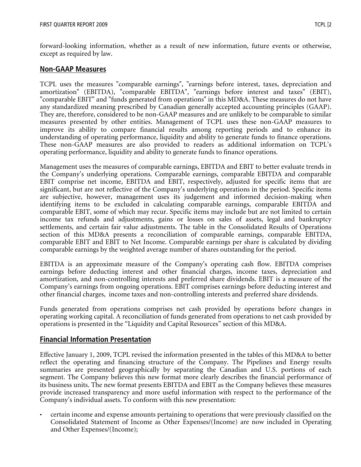forward-looking information, whether as a result of new information, future events or otherwise, except as required by law.

## **Non-GAAP Measures**

TCPL uses the measures "comparable earnings", "earnings before interest, taxes, depreciation and amortization" (EBITDA), "comparable EBITDA", "earnings before interest and taxes" (EBIT), "comparable EBIT" and "funds generated from operations" in this MD&A. These measures do not have any standardized meaning prescribed by Canadian generally accepted accounting principles (GAAP). They are, therefore, considered to be non-GAAP measures and are unlikely to be comparable to similar measures presented by other entities. Management of TCPL uses these non-GAAP measures to improve its ability to compare financial results among reporting periods and to enhance its understanding of operating performance, liquidity and ability to generate funds to finance operations. These non-GAAP measures are also provided to readers as additional information on TCPL's operating performance, liquidity and ability to generate funds to finance operations.

Management uses the measures of comparable earnings, EBITDA and EBIT to better evaluate trends in the Company's underlying operations. Comparable earnings, comparable EBITDA and comparable EBIT comprise net income, EBITDA and EBIT, respectively, adjusted for specific items that are significant, but are not reflective of the Company's underlying operations in the period. Specific items are subjective, however, management uses its judgement and informed decision-making when identifying items to be excluded in calculating comparable earnings, comparable EBITDA and comparable EBIT, some of which may recur. Specific items may include but are not limited to certain income tax refunds and adjustments, gains or losses on sales of assets, legal and bankruptcy settlements, and certain fair value adjustments. The table in the Consolidated Results of Operations section of this MD&A presents a reconciliation of comparable earnings, comparable EBITDA, comparable EBIT and EBIT to Net Income. Comparable earnings per share is calculated by dividing comparable earnings by the weighted average number of shares outstanding for the period.

EBITDA is an approximate measure of the Company's operating cash flow. EBITDA comprises earnings before deducting interest and other financial charges, income taxes, depreciation and amortization, and non-controlling interests and preferred share dividends. EBIT is a measure of the Company's earnings from ongoing operations. EBIT comprises earnings before deducting interest and other financial charges, income taxes and non-controlling interests and preferred share dividends.

Funds generated from operations comprises net cash provided by operations before changes in operating working capital. A reconciliation of funds generated from operations to net cash provided by operations is presented in the "Liquidity and Capital Resources" section of this MD&A.

# **Financial Information Presentation**

Effective January 1, 2009, TCPL revised the information presented in the tables of this MD&A to better reflect the operating and financing structure of the Company. The Pipelines and Energy results summaries are presented geographically by separating the Canadian and U.S. portions of each segment. The Company believes this new format more clearly describes the financial performance of its business units. The new format presents EBITDA and EBIT as the Company believes these measures provide increased transparency and more useful information with respect to the performance of the Company's individual assets. To conform with this new presentation:

• certain income and expense amounts pertaining to operations that were previously classified on the Consolidated Statement of Income as Other Expenses/(Income) are now included in Operating and Other Expenses/(Income);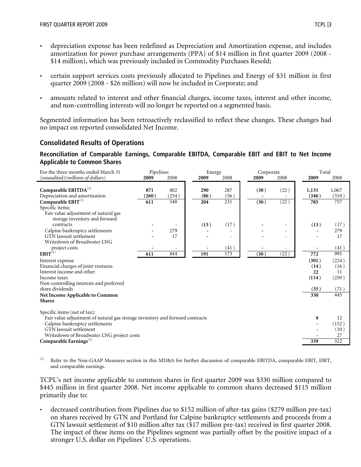- depreciation expense has been redefined as Depreciation and Amortization expense, and includes amortization for power purchase arrangements (PPA) of \$14 million in first quarter 2009 (2008 - \$14 million), which was previously included in Commodity Purchases Resold;
- certain support services costs previously allocated to Pipelines and Energy of \$31 million in first quarter 2009 (2008 - \$26 million) will now be included in Corporate; and
- amounts related to interest and other financial charges, income taxes, interest and other income, and non-controlling interests will no longer be reported on a segmented basis.

Segmented information has been retroactively reclassified to reflect these changes. These changes had no impact on reported consolidated Net Income.

## **Consolidated Results of Operations**

#### **Reconciliation of Comparable Earnings, Comparable EBITDA, Comparable EBIT and EBIT to Net Income Applicable to Common Shares**

| For the three months ended March 31                                                      | Pipelines    |              | Energy      |             | Corporate |                              | Total          |                |
|------------------------------------------------------------------------------------------|--------------|--------------|-------------|-------------|-----------|------------------------------|----------------|----------------|
| (unaudited)(millions of dollars)                                                         | 2009         | 2008         | 2009        | 2008        | 2009      | 2008                         | 2009           | 2008           |
| Comparable EBITDA <sup>(1)</sup><br>Depreciation and amortization                        | 871<br>(260) | 802<br>(254) | 290<br>(86) | 287<br>(56) | (30)      | (22)                         | 1,131<br>(346) | 1,067<br>(310) |
| Comparable $\mathrm{EBIT}^{(1)}$                                                         | 611          | 548          | 204         | 231         | (30)      | (22)                         | 785            | 757            |
| Specific items:<br>Fair value adjustment of natural gas<br>storage inventory and forward |              |              |             |             |           |                              |                |                |
| contracts                                                                                |              |              | (13)        | (17)        |           | $\qquad \qquad \blacksquare$ | (13)           | (17)           |
| Calpine bankruptcy settlements                                                           |              | 279          |             |             |           | $\qquad \qquad =$            |                | 279            |
| GTN lawsuit settlement                                                                   |              | 17           |             |             |           | $\qquad \qquad =$            |                | 17             |
| Writedown of Broadwater LNG                                                              |              |              |             |             |           |                              |                |                |
| project costs                                                                            |              |              |             | (41)        |           |                              |                | (41)           |
| $EBIT^{(1)}$                                                                             | 611          | 844          | 191         | 173         | (30)      | (22)                         | 772            | 995            |
| Interest expense                                                                         |              |              |             |             |           |                              | (301)          | (224)          |
| Financial charges of joint ventures                                                      |              |              |             |             |           |                              | (14)           | (16)           |
| Interest income and other                                                                |              |              |             |             |           |                              | 22             | 11             |
| Income taxes                                                                             |              |              |             |             |           |                              | (114)          | (250)          |
| Non-controlling interests and preferred                                                  |              |              |             |             |           |                              |                |                |
| share dividends                                                                          |              |              |             |             |           |                              | (35)           | (71)           |
| Net Income Applicable to Common                                                          |              |              |             |             |           |                              | 330            | 445            |
| <b>Shares</b>                                                                            |              |              |             |             |           |                              |                |                |
|                                                                                          |              |              |             |             |           |                              |                |                |
| Specific items (net of tax):                                                             |              |              |             |             |           |                              |                |                |
| Fair value adjustment of natural gas storage inventory and forward contracts             |              |              |             |             |           |                              | 9              | 12             |
| Calpine bankruptcy settlements<br>GTN lawsuit settlement                                 |              |              |             |             |           |                              |                | (152)          |
| Writedown of Broadwater LNG project costs                                                |              |              |             |             |           |                              |                | (10)<br>27     |
| Comparable Earnings $^{(1)}$                                                             |              |              |             |             |           |                              | 339            | 322            |
|                                                                                          |              |              |             |             |           |                              |                |                |

(1) Refer to the Non-GAAP Measures section in this MD&A for further discussion of comparable EBITDA, comparable EBIT, EBIT, and comparable earnings.

TCPL's net income applicable to common shares in first quarter 2009 was \$330 million compared to \$445 million in first quarter 2008. Net income applicable to common shares decreased \$115 million primarily due to:

• decreased contribution from Pipelines due to \$152 million of after-tax gains (\$279 million pre-tax) on shares received by GTN and Portland for Calpine bankruptcy settlements and proceeds from a GTN lawsuit settlement of \$10 million after tax (\$17 million pre-tax) received in first quarter 2008. The impact of these items on the Pipelines segment was partially offset by the positive impact of a stronger U.S. dollar on Pipelines' U.S. operations.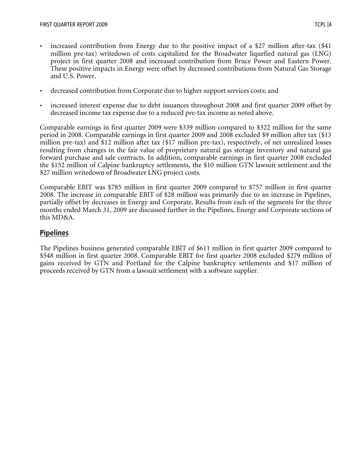- increased contribution from Energy due to the positive impact of a \$27 million after-tax (\$41 million pre-tax) writedown of costs capitalized for the Broadwater liquefied natural gas (LNG) project in first quarter 2008 and increased contribution from Bruce Power and Eastern Power. These positive impacts in Energy were offset by decreased contributions from Natural Gas Storage and U.S. Power.
- decreased contribution from Corporate due to higher support services costs; and
- increased interest expense due to debt issuances throughout 2008 and first quarter 2009 offset by decreased income tax expense due to a reduced pre-tax income as noted above.

Comparable earnings in first quarter 2009 were \$339 million compared to \$322 million for the same period in 2008. Comparable earnings in first quarter 2009 and 2008 excluded \$9 million after tax (\$13 million pre-tax) and \$12 million after tax (\$17 million pre-tax), respectively, of net unrealized losses resulting from changes in the fair value of proprietary natural gas storage inventory and natural gas forward purchase and sale contracts. In addition, comparable earnings in first quarter 2008 excluded the \$152 million of Calpine bankruptcy settlements, the \$10 million GTN lawsuit settlement and the \$27 million writedown of Broadwater LNG project costs.

Comparable EBIT was \$785 million in first quarter 2009 compared to \$757 million in first quarter 2008. The increase in comparable EBIT of \$28 million was primarily due to an increase in Pipelines, partially offset by decreases in Energy and Corporate. Results from each of the segments for the three months ended March 31, 2009 are discussed further in the Pipelines, Energy and Corporate sections of this MD&A.

# **Pipelines**

The Pipelines business generated comparable EBIT of \$611 million in first quarter 2009 compared to \$548 million in first quarter 2008. Comparable EBIT for first quarter 2008 excluded \$279 million of gains received by GTN and Portland for the Calpine bankruptcy settlements and \$17 million of proceeds received by GTN from a lawsuit settlement with a software supplier.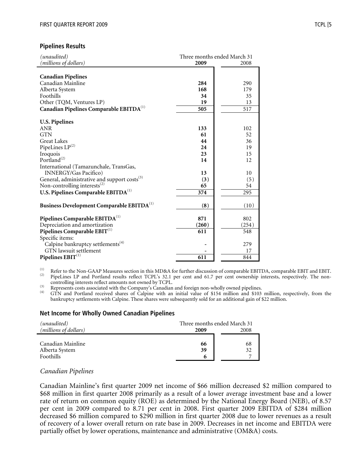#### **Pipelines Results**

| (unaudited)                                              | Three months ended March 31 | 2008  |  |
|----------------------------------------------------------|-----------------------------|-------|--|
| (millions of dollars)                                    | 2009                        |       |  |
|                                                          |                             |       |  |
| <b>Canadian Pipelines</b>                                |                             |       |  |
| Canadian Mainline                                        | 284                         | 290   |  |
| Alberta System                                           | 168                         | 179   |  |
| Foothills                                                | 34                          | 35    |  |
| Other (TQM, Ventures LP)                                 | 19                          | 13    |  |
| Canadian Pipelines Comparable EBITDA <sup>(1)</sup>      | 505                         | 517   |  |
| <b>U.S. Pipelines</b>                                    |                             |       |  |
| <b>ANR</b>                                               | 133                         | 102   |  |
| <b>GTN</b>                                               | 61                          | 52    |  |
| <b>Great Lakes</b>                                       | 44                          | 36    |  |
| PipeLines $LP(2)$                                        | 24                          | 19    |  |
| Iroquois                                                 | 23                          | 15    |  |
| Portland <sup>(2)</sup>                                  | 14                          | 12    |  |
| International (Tamazunchale, TransGas,                   |                             |       |  |
| <b>INNERGY/Gas Pacifico)</b>                             | 13                          | 10    |  |
| General, administrative and support costs <sup>(3)</sup> | (3)                         | (5)   |  |
| Non-controlling interests <sup>(2)</sup>                 | 65                          | 54    |  |
| U.S. Pipelines Comparable EBITDA <sup>(1)</sup>          | 374                         | 295   |  |
|                                                          |                             |       |  |
| Business Development Comparable EBITDA <sup>(1)</sup>    | (8)                         | (10)  |  |
| Pipelines Comparable EBITDA <sup>(1)</sup>               | 871                         | 802   |  |
| Depreciation and amortization                            | (260)                       | (254) |  |
| Pipelines Comparable $EBIT^{(1)}$                        | 611                         | 548   |  |
| Specific items:                                          |                             |       |  |
| Calpine bankruptcy settlements <sup>(4)</sup>            |                             | 279   |  |
| GTN lawsuit settlement                                   |                             | 17    |  |
| Pipelines EBIT <sup>(1)</sup>                            | 611                         | 844   |  |

The US of the Non-GAAP Measures section in this MD&A for further discussion of comparable EBITDA, comparable EBIT and EBIT.<br>
PipeLines LP and Portland results reflect TCPL's 32.1 per cent and 61.7 per cent ownership intere

(3) Represents costs associated with the Company's Canadian and foreign non-wholly owned pipelines.<br>(4) GTN and Portland received shares of Calpine with an initial value of \$154 million and \$103 million, respectively, from bankruptcy settlements with Calpine. These shares were subsequently sold for an additional gain of \$22 million.

#### **Net Income for Wholly Owned Canadian Pipelines**

| (unaudited)           | Three months ended March 31 |      |  |
|-----------------------|-----------------------------|------|--|
| (millions of dollars) | 2009                        | 2008 |  |
|                       |                             |      |  |
| Canadian Mainline     | 66                          | 68   |  |
| Alberta System        | 39                          | 32   |  |
| Foothills             | 6                           |      |  |

#### *Canadian Pipelines*

Canadian Mainline's first quarter 2009 net income of \$66 million decreased \$2 million compared to \$68 million in first quarter 2008 primarily as a result of a lower average investment base and a lower rate of return on common equity (ROE) as determined by the National Energy Board (NEB), of 8.57 per cent in 2009 compared to 8.71 per cent in 2008. First quarter 2009 EBITDA of \$284 million decreased \$6 million compared to \$290 million in first quarter 2008 due to lower revenues as a result of recovery of a lower overall return on rate base in 2009. Decreases in net income and EBITDA were partially offset by lower operations, maintenance and administrative (OM&A) costs.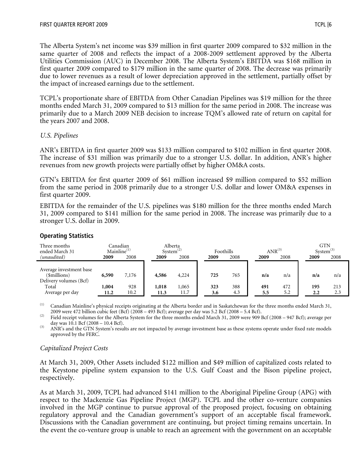The Alberta System's net income was \$39 million in first quarter 2009 compared to \$32 million in the same quarter of 2008 and reflects the impact of a 2008-2009 settlement approved by the Alberta Utilities Commission (AUC) in December 2008. The Alberta System's EBITDA was \$168 million in first quarter 2009 compared to \$179 million in the same quarter of 2008. The decrease was primarily due to lower revenues as a result of lower depreciation approved in the settlement, partially offset by the impact of increased earnings due to the settlement.

TCPL's proportionate share of EBITDA from Other Canadian Pipelines was \$19 million for the three months ended March 31, 2009 compared to \$13 million for the same period in 2008. The increase was primarily due to a March 2009 NEB decision to increase TQM's allowed rate of return on capital for the years 2007 and 2008.

#### *U.S. Pipelines*

ANR's EBITDA in first quarter 2009 was \$133 million compared to \$102 million in first quarter 2008. The increase of \$31 million was primarily due to a stronger U.S. dollar. In addition, ANR's higher revenues from new growth projects were partially offset by higher OM&A costs.

GTN's EBITDA for first quarter 2009 of \$61 million increased \$9 million compared to \$52 million from the same period in 2008 primarily due to a stronger U.S. dollar and lower OM&A expenses in first quarter 2009.

EBITDA for the remainder of the U.S. pipelines was \$180 million for the three months ended March 31, 2009 compared to \$141 million for the same period in 2008. The increase was primarily due to a stronger U.S. dollar in 2009.

| Three months<br>ended March 31                                             | Mainline <sup>(1)</sup> | Canadian     | Alberta<br>System $^{(2)}$ |                | Foothills  |            | $\text{ANR}^{\left( 3\right) }$ |            | <b>GTN</b><br>$System^{(3)}$ |            |
|----------------------------------------------------------------------------|-------------------------|--------------|----------------------------|----------------|------------|------------|---------------------------------|------------|------------------------------|------------|
| (unaudited)                                                                | 2009                    | 2008         | 2009                       | 2008           | 2009       | 2008       | 2009                            | 2008       | 2009                         | 2008       |
| Average investment base<br>(\$millions)<br>Delivery volumes (Bcf)<br>Total | 6,590<br>1.004          | 7,176<br>928 | 4,586<br>1,018             | 4,224<br>1,065 | 725<br>323 | 765<br>388 | n/a<br>491                      | n/a<br>472 | n/a<br>195                   | n/a<br>213 |
| Average per day                                                            | 11.2                    | 10.2         | 11.3                       | 11.7           | 3.6        | 4.3        | 5.5                             | 5.2        | $2.2\,$                      | 2.3        |

#### **Operating Statistics**

(1) Canadian Mainline's physical receipts originating at the Alberta border and in Saskatchewan for the three months ended March 31, 2009 were 472 billion cubic feet (Bcf) (2008 – 493 Bcf); average per day was 5.2 Bcf (20

<sup>(2)</sup> Field receipt volumes for the Alberta System for the three months ended March 31, 2009 were 909 Bcf (2008 – 947 Bcf); average per day was 10.1 Bcf (2008 – 10.4 Bcf).

 $\frac{d}{dx}$  ANR's and the GTN System's results are not impacted by average investment base as these systems operate under fixed rate models approved by the FERC.

#### *Capitalized Project Costs*

At March 31, 2009, Other Assets included \$122 million and \$49 million of capitalized costs related to the Keystone pipeline system expansion to the U.S. Gulf Coast and the Bison pipeline project, respectively.

As at March 31, 2009, TCPL had advanced \$141 million to the Aboriginal Pipeline Group (APG) with respect to the Mackenzie Gas Pipeline Project (MGP). TCPL and the other co-venture companies involved in the MGP continue to pursue approval of the proposed project, focusing on obtaining regulatory approval and the Canadian government's support of an acceptable fiscal framework. Discussions with the Canadian government are continuing, but project timing remains uncertain. In the event the co-venture group is unable to reach an agreement with the government on an acceptable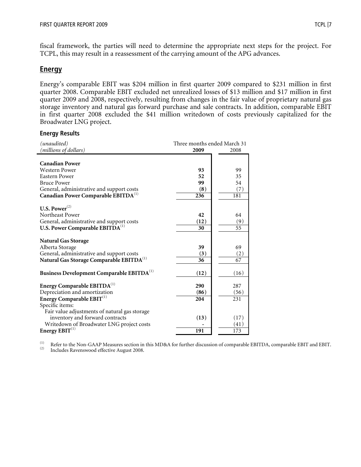fiscal framework, the parties will need to determine the appropriate next steps for the project. For TCPL, this may result in a reassessment of the carrying amount of the APG advances.

#### **Energy**

Energy's comparable EBIT was \$204 million in first quarter 2009 compared to \$231 million in first quarter 2008. Comparable EBIT excluded net unrealized losses of \$13 million and \$17 million in first quarter 2009 and 2008, respectively, resulting from changes in the fair value of proprietary natural gas storage inventory and natural gas forward purchase and sale contracts. In addition, comparable EBIT in first quarter 2008 excluded the \$41 million writedown of costs previously capitalized for the Broadwater LNG project.

## **Energy Results**

| (unaudited)                                                                                       | Three months ended March 31 |      |  |
|---------------------------------------------------------------------------------------------------|-----------------------------|------|--|
| (millions of dollars)                                                                             | 2009                        | 2008 |  |
|                                                                                                   |                             |      |  |
| <b>Canadian Power</b>                                                                             |                             |      |  |
| <b>Western Power</b>                                                                              | 93                          | 99   |  |
| <b>Eastern Power</b>                                                                              | 52                          | 35   |  |
| <b>Bruce Power</b>                                                                                | 99                          | 54   |  |
| General, administrative and support costs                                                         | (8)                         | (7)  |  |
| Canadian Power Comparable EBITDA <sup>(1)</sup>                                                   | 236                         | 181  |  |
|                                                                                                   |                             |      |  |
| U.S. Power $^{(2)}$                                                                               |                             |      |  |
| Northeast Power                                                                                   | 42                          | 64   |  |
| General, administrative and support costs                                                         | (12)                        | (9)  |  |
| U.S. Power Comparable EBITDA <sup>(1)</sup>                                                       | 30                          | 55   |  |
|                                                                                                   |                             |      |  |
| <b>Natural Gas Storage</b>                                                                        | 39                          | 69   |  |
| Alberta Storage                                                                                   | (3)                         | (2)  |  |
| General, administrative and support costs<br>Natural Gas Storage Comparable EBITDA <sup>(1)</sup> | 36                          | 67   |  |
|                                                                                                   |                             |      |  |
| Business Development Comparable EBITDA <sup>(1)</sup>                                             | (12)                        | (16) |  |
| Energy Comparable $EBITDA(1)$                                                                     | 290                         | 287  |  |
| Depreciation and amortization                                                                     | (86)                        | (56) |  |
| Energy Comparable $EBIT^{(1)}$                                                                    | 204                         | 231  |  |
| Specific items:                                                                                   |                             |      |  |
| Fair value adjustments of natural gas storage                                                     |                             |      |  |
| inventory and forward contracts                                                                   | (13)                        | (17) |  |
| Writedown of Broadwater LNG project costs                                                         |                             | (41) |  |
| Energy $EBIT^{(1)}$                                                                               | 191                         | 173  |  |

(1) Refer to the Non-GAAP Measures section in this MD&A for further discussion of comparable EBITDA, comparable EBIT and EBIT.<br>
Includes Ravenswood effective August 2008.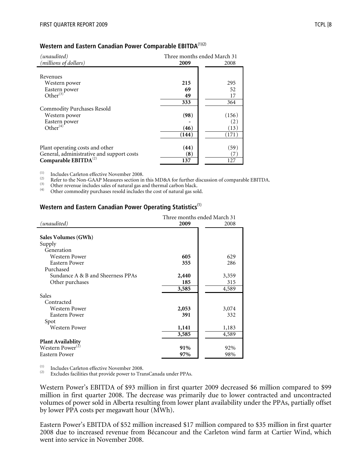#### **Western and Eastern Canadian Power Comparable EBITDA**(1)(2)

| (unaudited)<br>(millions of dollars)      | Three months ended March 31<br>2009 | 2008              |
|-------------------------------------------|-------------------------------------|-------------------|
|                                           |                                     |                   |
| Revenues                                  |                                     |                   |
| Western power                             | 215                                 | 295               |
|                                           | 69                                  | 52                |
| Eastern power<br>Other<br>(3)             | 49                                  | 17                |
|                                           | 333                                 | 364               |
| <b>Commodity Purchases Resold</b>         |                                     |                   |
| Western power                             | (98)                                | (156)             |
|                                           |                                     | (2)               |
| Eastern power<br>Other <sup>(4)</sup>     | (46)                                | $\left(13\right)$ |
|                                           | (144)                               | (171)             |
|                                           |                                     |                   |
| Plant operating costs and other           | (44)                                | (59)              |
| General, administrative and support costs | $(\bf 8)$                           | 7                 |
| Comparable $EBITDA^{(2)}$                 | 137                                 | 127               |

(1) Includes Carleton effective November 2008.<br>(2) Pofer to the Non-CAAB Measures estime in

<sup>(2)</sup> Refer to the Non-GAAP Measures section in this MD&A for further discussion of comparable EBITDA.<br>
(3) Other revenue includes sales of natural gas and thermal carbon black.<br>
(4) Other commodity purchases resold inclu

#### **Western and Eastern Canadian Power Operating Statistics**(1)

|                                   | Three months ended March 31 |       |  |
|-----------------------------------|-----------------------------|-------|--|
| (unaudited)                       | 2009                        | 2008  |  |
| Sales Volumes (GWh)               |                             |       |  |
| Supply                            |                             |       |  |
| Generation                        |                             |       |  |
| Western Power                     | 605                         | 629   |  |
| <b>Eastern Power</b>              | 355                         | 286   |  |
| Purchased                         |                             |       |  |
| Sundance A & B and Sheerness PPAs | 2,440                       | 3,359 |  |
| Other purchases                   | 185                         | 315   |  |
|                                   | 3,585                       | 4,589 |  |
| Sales                             |                             |       |  |
| Contracted                        |                             |       |  |
| <b>Western Power</b>              | 2,053                       | 3,074 |  |
| <b>Eastern Power</b>              | 391                         | 332   |  |
| Spot                              |                             |       |  |
| <b>Western Power</b>              | 1,141                       | 1,183 |  |
|                                   | 3,585                       | 4,589 |  |
| <b>Plant Availablity</b>          |                             |       |  |
| Western Power <sup>(2)</sup>      | 91%                         | 92%   |  |
| <b>Eastern Power</b>              | 97%                         | 98%   |  |

 $\begin{array}{ll}\n\text{(1)} & \text{Includes Carleton effective November 2008.} \\
\text{(2)} & \text{Excludes facilities that provide power to Traous.}\n\end{array}$ 

Excludes facilities that provide power to TransCanada under PPAs.

Western Power's EBITDA of \$93 million in first quarter 2009 decreased \$6 million compared to \$99 million in first quarter 2008. The decrease was primarily due to lower contracted and uncontracted volumes of power sold in Alberta resulting from lower plant availability under the PPAs, partially offset by lower PPA costs per megawatt hour (MWh).

Eastern Power's EBITDA of \$52 million increased \$17 million compared to \$35 million in first quarter 2008 due to increased revenue from Bécancour and the Carleton wind farm at Cartier Wind, which went into service in November 2008.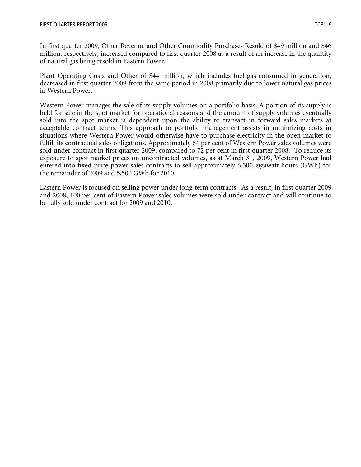In first quarter 2009, Other Revenue and Other Commodity Purchases Resold of \$49 million and \$46 million, respectively, increased compared to first quarter 2008 as a result of an increase in the quantity of natural gas being resold in Eastern Power.

Plant Operating Costs and Other of \$44 million, which includes fuel gas consumed in generation, decreased in first quarter 2009 from the same period in 2008 primarily due to lower natural gas prices in Western Power.

Western Power manages the sale of its supply volumes on a portfolio basis. A portion of its supply is held for sale in the spot market for operational reasons and the amount of supply volumes eventually sold into the spot market is dependent upon the ability to transact in forward sales markets at acceptable contract terms. This approach to portfolio management assists in minimizing costs in situations where Western Power would otherwise have to purchase electricity in the open market to fulfill its contractual sales obligations. Approximately 64 per cent of Western Power sales volumes were sold under contract in first quarter 2009, compared to 72 per cent in first quarter 2008. To reduce its exposure to spot market prices on uncontracted volumes, as at March 31, 2009, Western Power had entered into fixed-price power sales contracts to sell approximately 6,500 gigawatt hours (GWh) for the remainder of 2009 and 5,500 GWh for 2010.

Eastern Power is focused on selling power under long-term contracts. As a result, in first quarter 2009 and 2008, 100 per cent of Eastern Power sales volumes were sold under contract and will continue to be fully sold under contract for 2009 and 2010.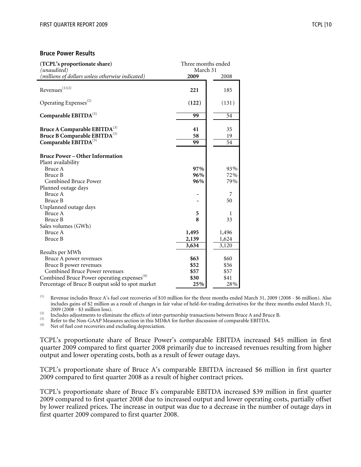#### **Bruce Power Results**

| (TCPL's proportionate share)                           | Three months ended |                 |
|--------------------------------------------------------|--------------------|-----------------|
| (unaudited)                                            | March 31           |                 |
| (millions of dollars unless otherwise indicated)       | 2009               | 2008            |
|                                                        |                    |                 |
| $Revenues^{(1)(2)}$                                    | 221                | 185             |
| Operating Expenses <sup>(2)</sup>                      | (122)              | (131)           |
| Comparable EBITDA <sup>(3)</sup>                       | 99                 | 54              |
| Bruce A Comparable EBITDA <sup>(3)</sup>               | 41                 | 35              |
| Bruce B Comparable EBITDA <sup>(3)</sup>               | 58                 | 19              |
| Comparable EBITDA(3)                                   | 99                 | $\overline{54}$ |
|                                                        |                    |                 |
| <b>Bruce Power – Other Information</b>                 |                    |                 |
| Plant availability                                     |                    |                 |
| <b>Bruce A</b>                                         | 97%                | 93%             |
| Bruce B                                                | 96%                | 72%             |
| <b>Combined Bruce Power</b>                            | 96%                | 79%             |
| Planned outage days                                    |                    |                 |
| <b>Bruce A</b>                                         |                    | 7               |
| <b>Bruce B</b>                                         |                    | 50              |
| Unplanned outage days                                  |                    |                 |
| <b>Bruce A</b>                                         | 5                  | 1               |
| Bruce B                                                | 8                  | 33              |
| Sales volumes (GWh)                                    |                    |                 |
| Bruce A                                                | 1,495              | 1,496           |
| Bruce B                                                | 2,139              | 1,624           |
|                                                        | 3,634              | 3,120           |
| Results per MWh                                        |                    |                 |
| Bruce A power revenues                                 | \$63               | \$60            |
| Bruce B power revenues                                 | \$52               | \$56            |
| Combined Bruce Power revenues                          | \$57               | \$57            |
| Combined Bruce Power operating expenses <sup>(4)</sup> | \$30               | \$41            |
| Percentage of Bruce B output sold to spot market       | 25%                | 28%             |

(1) Revenue includes Bruce A's fuel cost recoveries of \$10 million for the three months ended March 31, 2009 (2008 - \$6 million). Also includes gains of \$2 million as a result of changes in fair value of held-for-trading derivatives for the three months ended March 31,

2009 (2008 - \$3 million loss).<br>
Includes adjustments to eliminate the effects of inter-partnership transactions between Bruce A and Bruce B.<br>
(3) Refer to the Non-GAAP Measures section in this MD&A for further discussion

TCPL's proportionate share of Bruce Power's comparable EBITDA increased \$45 million in first quarter 2009 compared to first quarter 2008 primarily due to increased revenues resulting from higher output and lower operating costs, both as a result of fewer outage days.

TCPL's proportionate share of Bruce A's comparable EBITDA increased \$6 million in first quarter 2009 compared to first quarter 2008 as a result of higher contract prices.

TCPL's proportionate share of Bruce B's comparable EBITDA increased \$39 million in first quarter 2009 compared to first quarter 2008 due to increased output and lower operating costs, partially offset by lower realized prices. The increase in output was due to a decrease in the number of outage days in first quarter 2009 compared to first quarter 2008.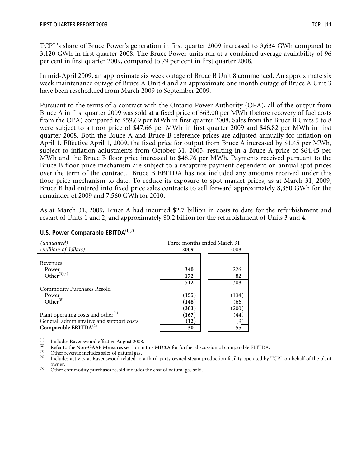TCPL's share of Bruce Power's generation in first quarter 2009 increased to 3,634 GWh compared to 3,120 GWh in first quarter 2008. The Bruce Power units ran at a combined average availability of 96 per cent in first quarter 2009, compared to 79 per cent in first quarter 2008.

In mid-April 2009, an approximate six week outage of Bruce B Unit 8 commenced. An approximate six week maintenance outage of Bruce A Unit 4 and an approximate one month outage of Bruce A Unit 3 have been rescheduled from March 2009 to September 2009.

Pursuant to the terms of a contract with the Ontario Power Authority (OPA), all of the output from Bruce A in first quarter 2009 was sold at a fixed price of \$63.00 per MWh (before recovery of fuel costs from the OPA) compared to \$59.69 per MWh in first quarter 2008. Sales from the Bruce B Units 5 to 8 were subject to a floor price of \$47.66 per MWh in first quarter 2009 and \$46.82 per MWh in first quarter 2008. Both the Bruce A and Bruce B reference prices are adjusted annually for inflation on April 1. Effective April 1, 2009, the fixed price for output from Bruce A increased by \$1.45 per MWh, subject to inflation adjustments from October 31, 2005, resulting in a Bruce A price of \$64.45 per MWh and the Bruce B floor price increased to \$48.76 per MWh. Payments received pursuant to the Bruce B floor price mechanism are subject to a recapture payment dependent on annual spot prices over the term of the contract. Bruce B EBITDA has not included any amounts received under this floor price mechanism to date. To reduce its exposure to spot market prices, as at March 31, 2009, Bruce B had entered into fixed price sales contracts to sell forward approximately 8,350 GWh for the remainder of 2009 and 7,560 GWh for 2010.

As at March 31, 2009, Bruce A had incurred \$2.7 billion in costs to date for the refurbishment and restart of Units 1 and 2, and approximately \$0.2 billion for the refurbishment of Units 3 and 4.

| (unaudited)                               | Three months ended March 31 |       |
|-------------------------------------------|-----------------------------|-------|
| (millions of dollars)                     | 2009                        | 2008  |
|                                           |                             |       |
| Revenues                                  |                             |       |
| Power                                     | 340                         | 226   |
| Other $^{(3)(4)}$                         | 172                         | 82    |
|                                           | 512                         | 308   |
| <b>Commodity Purchases Resold</b>         |                             |       |
| Power                                     | (155)                       | (134) |
| Other $(5)$                               | (148)                       | (66)  |
|                                           | (303)                       | (200) |
| Plant operating costs and other $(4)$     | (167)                       | (44)  |
| General, administrative and support costs | (12)                        | (9    |
| Comparable $EBITDA^{(2)}$                 | 30                          | 55    |

## **U.S. Power Comparable EBITDA**<sup>(1)(2)</sup>

The Machines Ravenswood effective August 2008.<br>
(2) Refer to the Non-GAAP Measures section in this MD&A for further discussion of comparable EBITDA.<br>
(3) Other revenue includes sales of natural gas.<br>
(4) Includes activity

owner. (5) Other commodity purchases resold includes the cost of natural gas sold.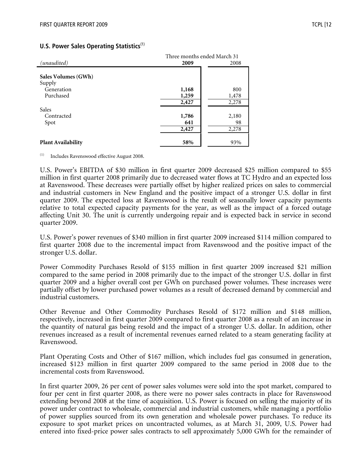|                               | Three months ended March 31 |       |
|-------------------------------|-----------------------------|-------|
| (unaudited)                   | 2009                        | 2008  |
| Sales Volumes (GWh)<br>Supply |                             |       |
| Generation                    | 1,168                       | 800   |
| Purchased                     | 1,259                       | 1,478 |
|                               | 2,427                       | 2,278 |
| Sales                         |                             |       |
| Contracted                    | 1,786                       | 2,180 |
| Spot                          | 641                         | 98    |
|                               | 2,427                       | 2,278 |
| <b>Plant Availability</b>     | 58%                         | 93%   |

(1) Includes Ravenswood effective August 2008.

U.S. Power's EBITDA of \$30 million in first quarter 2009 decreased \$25 million compared to \$55 million in first quarter 2008 primarily due to decreased water flows at TC Hydro and an expected loss at Ravenswood. These decreases were partially offset by higher realized prices on sales to commercial and industrial customers in New England and the positive impact of a stronger U.S. dollar in first quarter 2009. The expected loss at Ravenswood is the result of seasonally lower capacity payments relative to total expected capacity payments for the year, as well as the impact of a forced outage affecting Unit 30. The unit is currently undergoing repair and is expected back in service in second quarter 2009.

U.S. Power's power revenues of \$340 million in first quarter 2009 increased \$114 million compared to first quarter 2008 due to the incremental impact from Ravenswood and the positive impact of the stronger U.S. dollar.

Power Commodity Purchases Resold of \$155 million in first quarter 2009 increased \$21 million compared to the same period in 2008 primarily due to the impact of the stronger U.S. dollar in first quarter 2009 and a higher overall cost per GWh on purchased power volumes. These increases were partially offset by lower purchased power volumes as a result of decreased demand by commercial and industrial customers.

Other Revenue and Other Commodity Purchases Resold of \$172 million and \$148 million, respectively, increased in first quarter 2009 compared to first quarter 2008 as a result of an increase in the quantity of natural gas being resold and the impact of a stronger U.S. dollar. In addition, other revenues increased as a result of incremental revenues earned related to a steam generating facility at Ravenswood.

Plant Operating Costs and Other of \$167 million, which includes fuel gas consumed in generation, increased \$123 million in first quarter 2009 compared to the same period in 2008 due to the incremental costs from Ravenswood.

In first quarter 2009, 26 per cent of power sales volumes were sold into the spot market, compared to four per cent in first quarter 2008, as there were no power sales contracts in place for Ravenswood extending beyond 2008 at the time of acquisition. U.S. Power is focused on selling the majority of its power under contract to wholesale, commercial and industrial customers, while managing a portfolio of power supplies sourced from its own generation and wholesale power purchases. To reduce its exposure to spot market prices on uncontracted volumes, as at March 31, 2009, U.S. Power had entered into fixed-price power sales contracts to sell approximately 5,000 GWh for the remainder of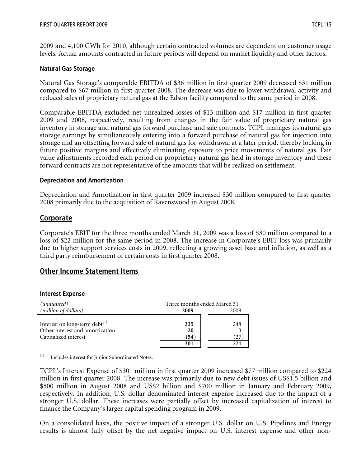2009 and 4,100 GWh for 2010, although certain contracted volumes are dependent on customer usage levels. Actual amounts contracted in future periods will depend on market liquidity and other factors.

#### **Natural Gas Storage**

Natural Gas Storage's comparable EBITDA of \$36 million in first quarter 2009 decreased \$31 million compared to \$67 million in first quarter 2008. The decrease was due to lower withdrawal activity and reduced sales of proprietary natural gas at the Edson facility compared to the same period in 2008.

Comparable EBITDA excluded net unrealized losses of \$13 million and \$17 million in first quarter 2009 and 2008, respectively, resulting from changes in the fair value of proprietary natural gas inventory in storage and natural gas forward purchase and sale contracts. TCPL manages its natural gas storage earnings by simultaneously entering into a forward purchase of natural gas for injection into storage and an offsetting forward sale of natural gas for withdrawal at a later period, thereby locking in future positive margins and effectively eliminating exposure to price movements of natural gas. Fair value adjustments recorded each period on proprietary natural gas held in storage inventory and these forward contracts are not representative of the amounts that will be realized on settlement.

#### **Depreciation and Amortization**

Depreciation and Amortization in first quarter 2009 increased \$30 million compared to first quarter 2008 primarily due to the acquisition of Ravenswood in August 2008.

## **Corporate**

Corporate's EBIT for the three months ended March 31, 2009 was a loss of \$30 million compared to a loss of \$22 million for the same period in 2008. The increase in Corporate's EBIT loss was primarily due to higher support services costs in 2009, reflecting a growing asset base and inflation, as well as a third party reimbursement of certain costs in first quarter 2008.

## **Other Income Statement Items**

#### **Interest Expense**

| (unaudited)                                                                                    | Three months ended March 31 |                  |  |
|------------------------------------------------------------------------------------------------|-----------------------------|------------------|--|
| ( <i>million of dollars</i> )                                                                  | 2009                        | 2008             |  |
| Interest on long-term debt $^{(1)}$<br>Other interest and amortization<br>Capitalized interest | 335<br>20<br>(54)<br>301    | 248<br>27<br>224 |  |

Includes interest for Junior Subordinated Notes.

TCPL's Interest Expense of \$301 million in first quarter 2009 increased \$77 million compared to \$224 million in first quarter 2008. The increase was primarily due to new debt issues of US\$1.5 billion and \$500 million in August 2008 and US\$2 billion and \$700 million in January and February 2009, respectively. In addition, U.S. dollar denominated interest expense increased due to the impact of a stronger U.S. dollar. These increases were partially offset by increased capitalization of interest to finance the Company's larger capital spending program in 2009.

On a consolidated basis, the positive impact of a stronger U.S. dollar on U.S. Pipelines and Energy results is almost fully offset by the net negative impact on U.S. interest expense and other non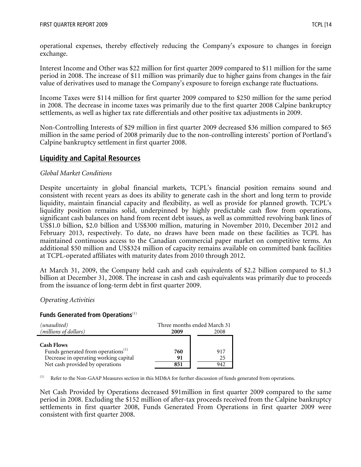operational expenses, thereby effectively reducing the Company's exposure to changes in foreign exchange.

Interest Income and Other was \$22 million for first quarter 2009 compared to \$11 million for the same period in 2008. The increase of \$11 million was primarily due to higher gains from changes in the fair value of derivatives used to manage the Company's exposure to foreign exchange rate fluctuations.

Income Taxes were \$114 million for first quarter 2009 compared to \$250 million for the same period in 2008. The decrease in income taxes was primarily due to the first quarter 2008 Calpine bankruptcy settlements, as well as higher tax rate differentials and other positive tax adjustments in 2009.

Non-Controlling Interests of \$29 million in first quarter 2009 decreased \$36 million compared to \$65 million in the same period of 2008 primarily due to the non-controlling interests' portion of Portland's Calpine bankruptcy settlement in first quarter 2008.

# **Liquidity and Capital Resources**

## *Global Market Conditions*

Despite uncertainty in global financial markets, TCPL's financial position remains sound and consistent with recent years as does its ability to generate cash in the short and long term to provide liquidity, maintain financial capacity and flexibility, as well as provide for planned growth. TCPL's liquidity position remains solid, underpinned by highly predictable cash flow from operations, significant cash balances on hand from recent debt issues, as well as committed revolving bank lines of US\$1.0 billion, \$2.0 billion and US\$300 million, maturing in November 2010, December 2012 and February 2013, respectively. To date, no draws have been made on these facilities as TCPL has maintained continuous access to the Canadian commercial paper market on competitive terms. An additional \$50 million and US\$324 million of capacity remains available on committed bank facilities at TCPL-operated affiliates with maturity dates from 2010 through 2012.

At March 31, 2009, the Company held cash and cash equivalents of \$2.2 billion compared to \$1.3 billion at December 31, 2008. The increase in cash and cash equivalents was primarily due to proceeds from the issuance of long-term debt in first quarter 2009.

## *Operating Activities*

#### **Funds Generated from Operations**(1)

| (unaudited)                                    | Three months ended March 31 |      |  |
|------------------------------------------------|-----------------------------|------|--|
| (millions of dollars)                          | 2009                        | 2008 |  |
|                                                |                             |      |  |
| <b>Cash Flows</b>                              |                             |      |  |
| Funds generated from operations <sup>(1)</sup> | 760                         | 917  |  |
| Decrease in operating working capital          | 91                          | 25   |  |
| Net cash provided by operations                | 851                         | 942  |  |

(1) Refer to the Non-GAAP Measures section in this MD&A for further discussion of funds generated from operations.

Net Cash Provided by Operations decreased \$91million in first quarter 2009 compared to the same period in 2008. Excluding the \$152 million of after-tax proceeds received from the Calpine bankruptcy settlements in first quarter 2008, Funds Generated From Operations in first quarter 2009 were consistent with first quarter 2008.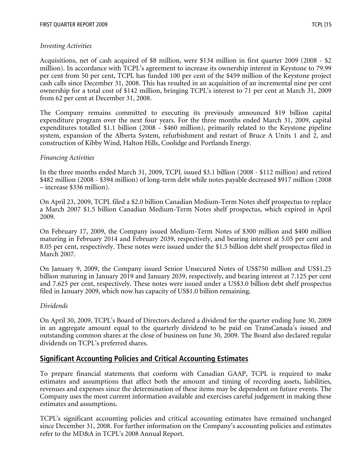#### *Investing Activities*

Acquisitions, net of cash acquired of \$8 million, were \$134 million in first quarter 2009 (2008 - \$2 million). In accordance with TCPL's agreement to increase its ownership interest in Keystone to 79.99 per cent from 50 per cent, TCPL has funded 100 per cent of the \$459 million of the Keystone project cash calls since December 31, 2008. This has resulted in an acquisition of an incremental nine per cent ownership for a total cost of \$142 million, bringing TCPL's interest to 71 per cent at March 31, 2009 from 62 per cent at December 31, 2008.

The Company remains committed to executing its previously announced \$19 billion capital expenditure program over the next four years. For the three months ended March 31, 2009, capital expenditures totalled \$1.1 billion (2008 - \$460 million), primarily related to the Keystone pipeline system, expansion of the Alberta System, refurbishment and restart of Bruce A Units 1 and 2, and construction of Kibby Wind, Halton Hills, Coolidge and Portlands Energy.

#### *Financing Activities*

In the three months ended March 31, 2009, TCPL issued \$3.1 billion (2008 - \$112 million) and retired \$482 million (2008 - \$394 million) of long-term debt while notes payable decreased \$917 million (2008 – increase \$336 million).

On April 23, 2009, TCPL filed a \$2.0 billion Canadian Medium-Term Notes shelf prospectus to replace a March 2007 \$1.5 billion Canadian Medium-Term Notes shelf prospectus, which expired in April 2009.

On February 17, 2009, the Company issued Medium-Term Notes of \$300 million and \$400 million maturing in February 2014 and February 2039, respectively, and bearing interest at 5.05 per cent and 8.05 per cent, respectively. These notes were issued under the \$1.5 billion debt shelf prospectus filed in March 2007.

On January 9, 2009, the Company issued Senior Unsecured Notes of US\$750 million and US\$1.25 billion maturing in January 2019 and January 2039, respectively, and bearing interest at 7.125 per cent and 7.625 per cent, respectively. These notes were issued under a US\$3.0 billion debt shelf prospectus filed in January 2009, which now has capacity of US\$1.0 billion remaining.

#### *Dividends*

On April 30, 2009, TCPL's Board of Directors declared a dividend for the quarter ending June 30, 2009 in an aggregate amount equal to the quarterly dividend to be paid on TransCanada's issued and outstanding common shares at the close of business on June 30, 2009. The Board also declared regular dividends on TCPL's preferred shares.

# **Significant Accounting Policies and Critical Accounting Estimates**

To prepare financial statements that conform with Canadian GAAP, TCPL is required to make estimates and assumptions that affect both the amount and timing of recording assets, liabilities, revenues and expenses since the determination of these items may be dependent on future events. The Company uses the most current information available and exercises careful judgement in making these estimates and assumptions.

TCPL's significant accounting policies and critical accounting estimates have remained unchanged since December 31, 2008. For further information on the Company's accounting policies and estimates refer to the MD&A in TCPL's 2008 Annual Report.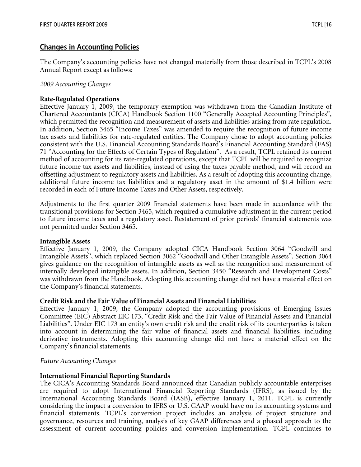# **Changes in Accounting Policies**

The Company's accounting policies have not changed materially from those described in TCPL's 2008 Annual Report except as follows:

#### *2009 Accounting Changes*

#### **Rate-Regulated Operations**

Effective January 1, 2009, the temporary exemption was withdrawn from the Canadian Institute of Chartered Accountants (CICA) Handbook Section 1100 "Generally Accepted Accounting Principles", which permitted the recognition and measurement of assets and liabilities arising from rate regulation. In addition, Section 3465 "Income Taxes" was amended to require the recognition of future income tax assets and liabilities for rate-regulated entities. The Company chose to adopt accounting policies consistent with the U.S. Financial Accounting Standards Board's Financial Accounting Standard (FAS) 71 "Accounting for the Effects of Certain Types of Regulation". As a result, TCPL retained its current method of accounting for its rate-regulated operations, except that TCPL will be required to recognize future income tax assets and liabilities, instead of using the taxes payable method, and will record an offsetting adjustment to regulatory assets and liabilities. As a result of adopting this accounting change, additional future income tax liabilities and a regulatory asset in the amount of \$1.4 billion were recorded in each of Future Income Taxes and Other Assets, respectively.

Adjustments to the first quarter 2009 financial statements have been made in accordance with the transitional provisions for Section 3465, which required a cumulative adjustment in the current period to future income taxes and a regulatory asset. Restatement of prior periods' financial statements was not permitted under Section 3465.

#### **Intangible Assets**

Effective January 1, 2009, the Company adopted CICA Handbook Section 3064 "Goodwill and Intangible Assets", which replaced Section 3062 "Goodwill and Other Intangible Assets". Section 3064 gives guidance on the recognition of intangible assets as well as the recognition and measurement of internally developed intangible assets. In addition, Section 3450 "Research and Development Costs" was withdrawn from the Handbook. Adopting this accounting change did not have a material effect on the Company's financial statements.

#### **Credit Risk and the Fair Value of Financial Assets and Financial Liabilities**

Effective January 1, 2009, the Company adopted the accounting provisions of Emerging Issues Committee (EIC) Abstract EIC 173, "Credit Risk and the Fair Value of Financial Assets and Financial Liabilities". Under EIC 173 an entity's own credit risk and the credit risk of its counterparties is taken into account in determining the fair value of financial assets and financial liabilities, including derivative instruments. Adopting this accounting change did not have a material effect on the Company's financial statements.

## *Future Accounting Changes*

## **International Financial Reporting Standards**

The CICA's Accounting Standards Board announced that Canadian publicly accountable enterprises are required to adopt International Financial Reporting Standards (IFRS), as issued by the International Accounting Standards Board (IASB), effective January 1, 2011. TCPL is currently considering the impact a conversion to IFRS or U.S. GAAP would have on its accounting systems and financial statements. TCPL's conversion project includes an analysis of project structure and governance, resources and training, analysis of key GAAP differences and a phased approach to the assessment of current accounting policies and conversion implementation. TCPL continues to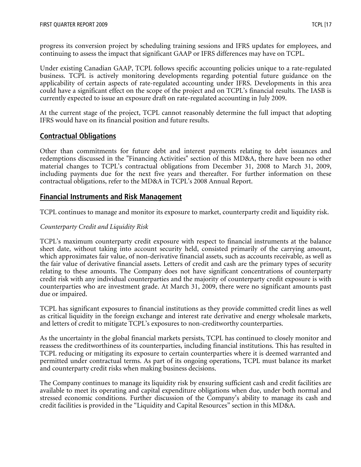progress its conversion project by scheduling training sessions and IFRS updates for employees, and continuing to assess the impact that significant GAAP or IFRS differences may have on TCPL.

Under existing Canadian GAAP, TCPL follows specific accounting policies unique to a rate-regulated business. TCPL is actively monitoring developments regarding potential future guidance on the applicability of certain aspects of rate-regulated accounting under IFRS. Developments in this area could have a significant effect on the scope of the project and on TCPL's financial results. The IASB is currently expected to issue an exposure draft on rate-regulated accounting in July 2009.

At the current stage of the project, TCPL cannot reasonably determine the full impact that adopting IFRS would have on its financial position and future results.

# **Contractual Obligations**

Other than commitments for future debt and interest payments relating to debt issuances and redemptions discussed in the "Financing Activities" section of this MD&A, there have been no other material changes to TCPL's contractual obligations from December 31, 2008 to March 31, 2009, including payments due for the next five years and thereafter. For further information on these contractual obligations, refer to the MD&A in TCPL's 2008 Annual Report.

## **Financial Instruments and Risk Management**

TCPL continues to manage and monitor its exposure to market, counterparty credit and liquidity risk.

#### *Counterparty Credit and Liquidity Risk*

TCPL's maximum counterparty credit exposure with respect to financial instruments at the balance sheet date, without taking into account security held, consisted primarily of the carrying amount, which approximates fair value, of non-derivative financial assets, such as accounts receivable, as well as the fair value of derivative financial assets. Letters of credit and cash are the primary types of security relating to these amounts. The Company does not have significant concentrations of counterparty credit risk with any individual counterparties and the majority of counterparty credit exposure is with counterparties who are investment grade. At March 31, 2009, there were no significant amounts past due or impaired.

TCPL has significant exposures to financial institutions as they provide committed credit lines as well as critical liquidity in the foreign exchange and interest rate derivative and energy wholesale markets, and letters of credit to mitigate TCPL's exposures to non-creditworthy counterparties.

As the uncertainty in the global financial markets persists, TCPL has continued to closely monitor and reassess the creditworthiness of its counterparties, including financial institutions. This has resulted in TCPL reducing or mitigating its exposure to certain counterparties where it is deemed warranted and permitted under contractual terms. As part of its ongoing operations, TCPL must balance its market and counterparty credit risks when making business decisions.

The Company continues to manage its liquidity risk by ensuring sufficient cash and credit facilities are available to meet its operating and capital expenditure obligations when due, under both normal and stressed economic conditions. Further discussion of the Company's ability to manage its cash and credit facilities is provided in the "Liquidity and Capital Resources" section in this MD&A.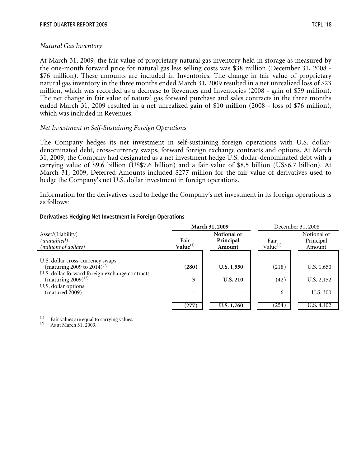At March 31, 2009, the fair value of proprietary natural gas inventory held in storage as measured by the one-month forward price for natural gas less selling costs was \$38 million (December 31, 2008 - \$76 million). These amounts are included in Inventories. The change in fair value of proprietary natural gas inventory in the three months ended March 31, 2009 resulted in a net unrealized loss of \$23 million, which was recorded as a decrease to Revenues and Inventories (2008 - gain of \$59 million). The net change in fair value of natural gas forward purchase and sales contracts in the three months ended March 31, 2009 resulted in a net unrealized gain of \$10 million (2008 - loss of \$76 million), which was included in Revenues.

## *Net Investment in Self-Sustaining Foreign Operations*

The Company hedges its net investment in self-sustaining foreign operations with U.S. dollardenominated debt, cross-currency swaps, forward foreign exchange contracts and options. At March 31, 2009, the Company had designated as a net investment hedge U.S. dollar-denominated debt with a carrying value of \$9.6 billion (US\$7.6 billion) and a fair value of \$8.5 billion (US\$6.7 billion). At March 31, 2009, Deferred Amounts included \$277 million for the fair value of derivatives used to hedge the Company's net U.S. dollar investment in foreign operations.

Information for the derivatives used to hedge the Company's net investment in its foreign operations is as follows:

#### **Derivatives Hedging Net Investment in Foreign Operations**

|                                                                                     | March 31, 2009<br>Notional or<br>Fair<br>Principal<br>Value <sup>(1)</sup><br>Amount |                   | December 31, 2008     |                                    |  |
|-------------------------------------------------------------------------------------|--------------------------------------------------------------------------------------|-------------------|-----------------------|------------------------------------|--|
| Asset/(Liability)<br>(unaudited)<br>(millions of dollars)                           |                                                                                      |                   | Fair<br>$Value^{(1)}$ | Notional or<br>Principal<br>Amount |  |
|                                                                                     |                                                                                      |                   |                       |                                    |  |
| U.S. dollar cross-currency swaps<br>(maturing 2009 to $2014^{(2)}$ )                | (280)                                                                                | <b>U.S. 1,550</b> | (218)                 | U.S. 1,650                         |  |
| U.S. dollar forward foreign exchange contracts<br>(maturing $2009$ ) <sup>(2)</sup> | 3                                                                                    | <b>U.S. 210</b>   | (42)                  | U.S. 2,152                         |  |
| U.S. dollar options<br>(matured 2009)                                               |                                                                                      |                   | 6                     | U.S. 300                           |  |
|                                                                                     | (277)                                                                                | <b>U.S. 1,760</b> | (254)                 | U.S. 4,102                         |  |

(1) Fair values are equal to carrying values.<br>
As at March 31, 2009.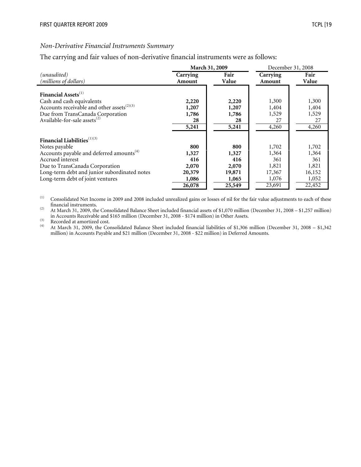#### *Non-Derivative Financial Instruments Summary*

The carrying and fair values of non-derivative financial instruments were as follows:

|                                                                                     | March 31, 2009     |                | December 31, 2008  |                |
|-------------------------------------------------------------------------------------|--------------------|----------------|--------------------|----------------|
| (unaudited)<br>(millions of dollars)                                                | Carrying<br>Amount | Fair<br>Value  | Carrying<br>Amount | Fair<br>Value  |
| Financial Assets <sup>(1)</sup>                                                     |                    |                |                    |                |
| Cash and cash equivalents<br>Accounts receivable and other assets <sup>(2)(3)</sup> | 2,220<br>1,207     | 2,220<br>1,207 | 1,300<br>1,404     | 1,300<br>1,404 |
| Due from TransCanada Corporation                                                    | 1,786              | 1,786          | 1,529              | 1,529          |
| Available-for-sale assets <sup>(2)</sup>                                            | 28                 | 28             | 27                 | 27             |
|                                                                                     | 5,241              | 5,241          | 4,260              | 4,260          |
| Financial Liabilities <sup>(1)(3)</sup>                                             |                    |                |                    |                |
| Notes payable                                                                       | 800                | 800            | 1,702              | 1,702          |
| Accounts payable and deferred amounts <sup>(4)</sup>                                | 1,327              | 1,327          | 1,364              | 1,364          |
| Accrued interest                                                                    | 416                | 416            | 361                | 361            |
| Due to TransCanada Corporation                                                      | 2,070              | 2,070          | 1,821              | 1,821          |
| Long-term debt and junior subordinated notes                                        | 20,379             | 19,871         | 17,367             | 16,152         |
| Long-term debt of joint ventures                                                    | 1,086              | 1,065          | 1,076              | 1,052          |
|                                                                                     | 26,078             | 25,549         | 23,691             | 22,452         |

(1) Consolidated Net Income in 2009 and 2008 included unrealized gains or losses of nil for the fair value adjustments to each of these financial instruments.

(2) At March 31, 2009, the Consolidated Balance Sheet included financial assets of \$1,070 million (December 31, 2008 – \$1,257 million) in Accounts Receivable and \$165 million (December 31, 2008 - \$174 million) in Other Assets.<br>
(3) Recorded at amortized cost.<br>
(4) At March 31, 2009, the Consolidated Balance Sheet included financial liabilities of \$1,306

(4) At March 31, 2009, the Consolidated Balance Sheet included financial liabilities of \$1,306 million (December 31, 2008 – \$1,342 million) in Accounts Payable and \$21 million (December 31, 2008 - \$22 million) in Deferred Amounts.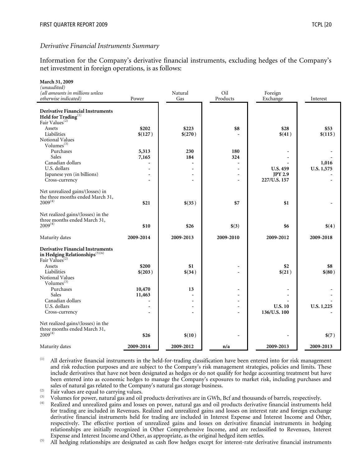Information for the Company's derivative financial instruments, excluding hedges of the Company's net investment in foreign operations, is as follows:

| March 31, 2009<br>(unaudited)                                            |           |           |                                            |                                |            |
|--------------------------------------------------------------------------|-----------|-----------|--------------------------------------------|--------------------------------|------------|
| (all amounts in millions unless                                          |           | Natural   | Oil                                        | Foreign                        |            |
| otherwise indicated)                                                     | Power     | Gas       | Products                                   | Exchange                       | Interest   |
|                                                                          |           |           |                                            |                                |            |
| <b>Derivative Financial Instruments</b>                                  |           |           |                                            |                                |            |
| Held for $\operatorname{Trading}^{(1)}$<br>Fair Values <sup>(2)</sup>    |           |           |                                            |                                |            |
| Assets                                                                   | \$202     | \$223     |                                            | \$28                           | \$53       |
| Liabilities                                                              | \$(127)   | \$(270)   | \$8                                        | \$(41)                         | \$(115)    |
| Notional Values                                                          |           |           |                                            |                                |            |
| Volumes $^{(3)}$                                                         |           |           |                                            |                                |            |
| Purchases                                                                | 5,313     | 230       | 180                                        |                                |            |
| Sales                                                                    | 7,165     | 184       | 324                                        |                                |            |
| Canadian dollars                                                         |           | L,        | $\overline{a}$                             |                                | 1,016      |
| U.S. dollars                                                             |           |           | $\overline{a}$                             | <b>U.S. 459</b>                | U.S. 1,575 |
| Japanese yen (in billions)                                               |           |           | $\overline{\phantom{0}}$<br>$\overline{a}$ | <b>JPY 2.9</b><br>227/U.S. 157 |            |
| Cross-currency                                                           |           |           |                                            |                                |            |
| Net unrealized gains/(losses) in                                         |           |           |                                            |                                |            |
| the three months ended March 31,<br>$2009^{(4)}$                         |           |           |                                            | \$1                            |            |
|                                                                          | \$21      | \$(35)    | \$7                                        |                                |            |
| Net realized gains/(losses) in the                                       |           |           |                                            |                                |            |
| three months ended March 31,<br>$2009^{(4)}$                             |           |           |                                            |                                |            |
|                                                                          | \$10      | \$26      | \$(3)                                      | \$6                            | \$(4)      |
| Maturity dates                                                           | 2009-2014 | 2009-2013 | 2009-2010                                  | 2009-2012                      | 2009-2018  |
| <b>Derivative Financial Instruments</b>                                  |           |           |                                            |                                |            |
| in Hedging Relationships <sup>(5)(6)</sup><br>Fair Values <sup>(2)</sup> |           |           |                                            |                                |            |
| Assets                                                                   | \$200     | \$1       |                                            | \$2                            | \$8        |
| Liabilities                                                              | \$(203)   | \$(34)    |                                            | \$(21)                         | \$(80)     |
| Notional Values<br>Volumes $^{(3)}$                                      |           |           |                                            |                                |            |
| Purchases                                                                | 10,470    | 13        |                                            |                                |            |
| Sales                                                                    | 11,463    |           | $\blacksquare$                             |                                |            |
| Canadian dollars                                                         |           |           | $\overline{\phantom{a}}$                   |                                |            |
| U.S. dollars                                                             |           |           | $\overline{a}$                             | <b>U.S. 10</b>                 | U.S. 1,225 |
| Cross-currency                                                           |           |           | $\overline{a}$                             | 136/U.S. 100                   |            |
| Net realized gains/(losses) in the                                       |           |           |                                            |                                |            |
| three months ended March 31,<br>$2009^{(4)}$                             |           |           |                                            |                                |            |
|                                                                          | \$26      | \$(10)    |                                            |                                | \$(7)      |
| Maturity dates                                                           | 2009-2014 | 2009-2012 | n/a                                        | 2009-2013                      | 2009-2013  |

 $(1)$  All derivative financial instruments in the held-for-trading classification have been entered into for risk management and risk reduction purposes and are subject to the Company's risk management strategies, policies and limits. These include derivatives that have not been designated as hedges or do not qualify for hedge accounting treatment but have been entered into as economic hedges to manage the Company's exposures to market risk, including purchases and sales of natural gas related to the Company's natural gas storage business.

Fair values are equal to carrying values.<br>  $\overline{a}$ <br>  $\overline{b}$ <br>  $\overline{c}$ <br>  $\overline{c}$ <br>  $\overline{c}$ <br>  $\overline{c}$ <br>  $\overline{c}$ <br>  $\overline{c}$ <br>  $\overline{c}$ <br>  $\overline{c}$ <br>  $\overline{c}$ <br>  $\overline{c}$ <br>  $\overline{c}$ <br>  $\overline{c}$ <br>  $\overline{c}$ <br>  $\overline{c}$ <br>  $\overline{c}$ <br>  $\overline{c}$ 

for trading are included in Revenues. Realized and unrealized gains and losses on interest rate and foreign exchange derivative financial instruments held for trading are included in Interest Expense and Interest Income and Other, respectively. The effective portion of unrealized gains and losses on derivative financial instruments in hedging relationships are initially recognized in Other Comprehensive Income, and are reclassified to Revenues, Interest Expense and Interest Income and Other, as appropriate, as the original hedged item settles.<br>
(5) All hedging relationships are designated as cash flow hedges except for interest-rate derivative financial instruments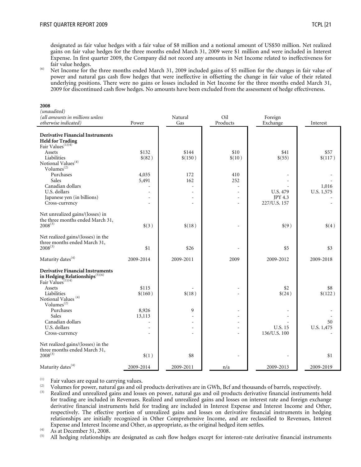**2008** 

designated as fair value hedges with a fair value of \$8 million and a notional amount of US\$50 million. Net realized gains on fair value hedges for the three months ended March 31, 2009 were \$1 million and were included in Interest Expense. In first quarter 2009, the Company did not record any amounts in Net Income related to ineffectiveness for

 $^{(6)}$  Net Income for the three months ended March 31, 2009 included gains of \$5 million for the changes in fair value of power and natural gas cash flow hedges that were ineffective in offsetting the change in fair value of their related underlying positions. There were no gains or losses included in Net Income for the three months ended March 31, 2009 for discontinued cash flow hedges. No amounts have been excluded from the assessment of hedge effectiveness.

| (unaudited)<br>(all amounts in millions unless                                                                         |                  | Natural          | Oil                                                          | Foreign                             |                  |
|------------------------------------------------------------------------------------------------------------------------|------------------|------------------|--------------------------------------------------------------|-------------------------------------|------------------|
| otherwise indicated)                                                                                                   | Power            | Gas              | Products                                                     | Exchange                            | Interest         |
| <b>Derivative Financial Instruments</b><br><b>Held for Trading</b><br>Fair Values <sup>(1)(4)</sup>                    |                  |                  |                                                              |                                     |                  |
| Assets<br>Liabilities<br>Notional Values <sup>(4)</sup><br>Volumes $^{(2)}$                                            | \$132<br>\$(82)  | \$144<br>\$(150) | \$10<br>\$(10)                                               | \$41<br>\$(55)                      | \$57<br>\$(117)  |
| Purchases<br>Sales<br>Canadian dollars                                                                                 | 4,035<br>5,491   | 172<br>162       | 410<br>252                                                   |                                     | 1,016            |
| U.S. dollars<br>Japanese yen (in billions)<br>Cross-currency                                                           |                  | ۳                | $\overline{a}$<br>L,<br>۳                                    | U.S. 479<br>JPY 4.3<br>227/U.S. 157 | U.S. 1,575       |
| Net unrealized gains/(losses) in<br>the three months ended March 31,<br>$2008^{(3)}$                                   | \$(3)            | \$(18)           |                                                              | \$(9)                               | \$(4)            |
| Net realized gains/(losses) in the<br>three months ended March 31,<br>$2008^{(3)}$                                     | \$1              | \$26             |                                                              | \$5                                 | \$3              |
| Maturity dates <sup>(4)</sup>                                                                                          | 2009-2014        | 2009-2011        | 2009                                                         | 2009-2012                           | 2009-2018        |
| <b>Derivative Financial Instruments</b><br>in Hedging Relationships <sup>(5)(6)</sup><br>Fair Values <sup>(1)(4)</sup> |                  |                  |                                                              |                                     |                  |
| Assets<br>Liabilities<br>Notional Values <sup>(4)</sup><br>Volumes <sup>(2)</sup>                                      | \$115<br>\$(160) | \$(18)           |                                                              | \$2<br>\$(24)                       | \$8<br>\$(122)   |
| Purchases<br><b>Sales</b>                                                                                              | 8,926<br>13,113  | 9                | $\equiv$                                                     |                                     |                  |
| Canadian dollars<br>U.S. dollars<br>Cross-currency                                                                     |                  |                  | $\overline{a}$<br>$\overline{\phantom{a}}$<br>$\overline{a}$ | <b>U.S. 15</b><br>136/U.S. 100      | 50<br>U.S. 1,475 |
| Net realized gains/(losses) in the<br>three months ended March 31,<br>$2008^{(3)}$                                     | \$(1)            | \$8              |                                                              |                                     | \$1              |
| Maturity dates <sup>(4)</sup>                                                                                          | 2009-2014        | 2009-2011        | n/a                                                          | 2009-2013                           | 2009-2019        |

Fair values are equal to carrying values.<br>
Volumes for power, natural gas and oil products derivatives are in GWh, Bcf and thousands of barrels, respectively.<br>
Realized and unrealized gains and losses on power, natural ga for trading are included in Revenues. Realized and unrealized gains and losses on interest rate and foreign exchange derivative financial instruments held for trading are included in Interest Expense and Interest Income and Other, respectively. The effective portion of unrealized gains and losses on derivative financial instruments in hedging relationships are initially recognized in Other Comprehensive Income, and are reclassified to Revenues, Interest Expense and Interest Income and Other, as appropriate, as the original hedged item settles.<br>
As at December 31, 2008.<br>
<sup>(5)</sup> All bedsing relationships are decignated as such flow bedges except for interest rate deri

(5) All hedging relationships are designated as cash flow hedges except for interest-rate derivative financial instruments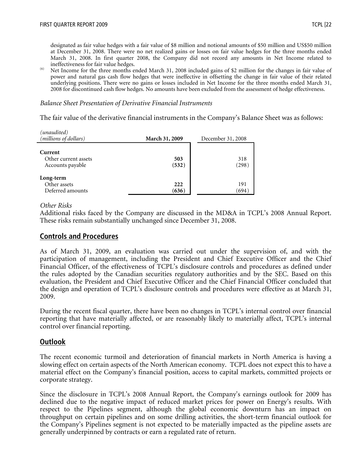designated as fair value hedges with a fair value of \$8 million and notional amounts of \$50 million and US\$50 million at December 31, 2008. There were no net realized gains or losses on fair value hedges for the three months ended March 31, 2008. In first quarter 2008, the Company did not record any amounts in Net Income related to ineffectiveness for fair value hedges.

<sup>(6)</sup> Net Income for the three months ended March 31, 2008 included gains of \$2 million for the changes in fair value of power and natural gas cash flow hedges that were ineffective in offsetting the change in fair value of their related underlying positions. There were no gains or losses included in Net Income for the three months ended March 31, 2008 for discontinued cash flow hedges. No amounts have been excluded from the assessment of hedge effectiveness.

#### *Balance Sheet Presentation of Derivative Financial Instruments*

The fair value of the derivative financial instruments in the Company's Balance Sheet was as follows:

| (unaudited)<br>(millions of dollars)                | March 31, 2009 | December 31, 2008 |
|-----------------------------------------------------|----------------|-------------------|
| Current<br>Other current assets<br>Accounts payable | 503<br>(532)   | 318<br>(298)      |
| Long-term<br>Other assets<br>Deferred amounts       | 222<br>(636)   | 191<br>(694)      |

#### *Other Risks*

Additional risks faced by the Company are discussed in the MD&A in TCPL's 2008 Annual Report. These risks remain substantially unchanged since December 31, 2008.

#### **Controls and Procedures**

As of March 31, 2009, an evaluation was carried out under the supervision of, and with the participation of management, including the President and Chief Executive Officer and the Chief Financial Officer, of the effectiveness of TCPL's disclosure controls and procedures as defined under the rules adopted by the Canadian securities regulatory authorities and by the SEC. Based on this evaluation, the President and Chief Executive Officer and the Chief Financial Officer concluded that the design and operation of TCPL's disclosure controls and procedures were effective as at March 31, 2009.

During the recent fiscal quarter, there have been no changes in TCPL's internal control over financial reporting that have materially affected, or are reasonably likely to materially affect, TCPL's internal control over financial reporting.

# **Outlook**

The recent economic turmoil and deterioration of financial markets in North America is having a slowing effect on certain aspects of the North American economy. TCPL does not expect this to have a material effect on the Company's financial position, access to capital markets, committed projects or corporate strategy.

Since the disclosure in TCPL's 2008 Annual Report, the Company's earnings outlook for 2009 has declined due to the negative impact of reduced market prices for power on Energy's results. With respect to the Pipelines segment, although the global economic downturn has an impact on throughput on certain pipelines and on some drilling activities, the short-term financial outlook for the Company's Pipelines segment is not expected to be materially impacted as the pipeline assets are generally underpinned by contracts or earn a regulated rate of return.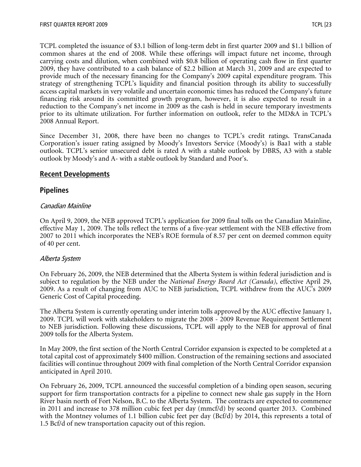TCPL completed the issuance of \$3.1 billion of long-term debt in first quarter 2009 and \$1.1 billion of common shares at the end of 2008. While these offerings will impact future net income, through carrying costs and dilution, when combined with \$0.8 billion of operating cash flow in first quarter 2009, they have contributed to a cash balance of \$2.2 billion at March 31, 2009 and are expected to provide much of the necessary financing for the Company's 2009 capital expenditure program. This strategy of strengthening TCPL's liquidity and financial position through its ability to successfully access capital markets in very volatile and uncertain economic times has reduced the Company's future financing risk around its committed growth program, however, it is also expected to result in a reduction to the Company's net income in 2009 as the cash is held in secure temporary investments prior to its ultimate utilization. For further information on outlook, refer to the MD&A in TCPL's 2008 Annual Report.

Since December 31, 2008, there have been no changes to TCPL's credit ratings. TransCanada Corporation's issuer rating assigned by Moody's Investors Service (Moody's) is Baa1 with a stable outlook. TCPL's senior unsecured debt is rated A with a stable outlook by DBRS, A3 with a stable outlook by Moody's and A- with a stable outlook by Standard and Poor's.

## **Recent Developments**

## **Pipelines**

## Canadian Mainline

On April 9, 2009, the NEB approved TCPL's application for 2009 final tolls on the Canadian Mainline, effective May 1, 2009. The tolls reflect the terms of a five-year settlement with the NEB effective from 2007 to 2011 which incorporates the NEB's ROE formula of 8.57 per cent on deemed common equity of 40 per cent.

## Alberta System

On February 26, 2009, the NEB determined that the Alberta System is within federal jurisdiction and is subject to regulation by the NEB under the *National Energy Board Act (Canada)*, effective April 29, 2009. As a result of changing from AUC to NEB jurisdiction, TCPL withdrew from the AUC's 2009 Generic Cost of Capital proceeding.

The Alberta System is currently operating under interim tolls approved by the AUC effective January 1, 2009. TCPL will work with stakeholders to migrate the 2008 - 2009 Revenue Requirement Settlement to NEB jurisdiction. Following these discussions, TCPL will apply to the NEB for approval of final 2009 tolls for the Alberta System.

In May 2009, the first section of the North Central Corridor expansion is expected to be completed at a total capital cost of approximately \$400 million. Construction of the remaining sections and associated facilities will continue throughout 2009 with final completion of the North Central Corridor expansion anticipated in April 2010.

On February 26, 2009, TCPL announced the successful completion of a binding open season, securing support for firm transportation contracts for a pipeline to connect new shale gas supply in the Horn River basin north of Fort Nelson, B.C. to the Alberta System. The contracts are expected to commence in 2011 and increase to 378 million cubic feet per day (mmcf/d) by second quarter 2013. Combined with the Montney volumes of 1.1 billion cubic feet per day (Bcf/d) by 2014, this represents a total of 1.5 Bcf/d of new transportation capacity out of this region.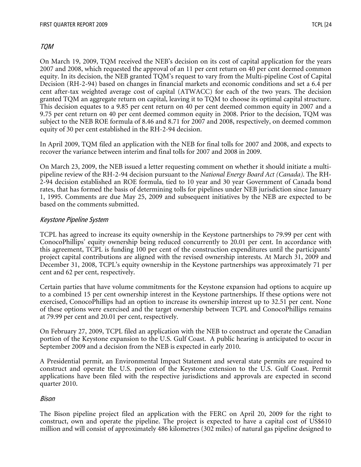## TQM

On March 19, 2009, TQM received the NEB's decision on its cost of capital application for the years 2007 and 2008, which requested the approval of an 11 per cent return on 40 per cent deemed common equity. In its decision, the NEB granted TQM's request to vary from the Multi-pipeline Cost of Capital Decision (RH-2-94) based on changes in financial markets and economic conditions and set a 6.4 per cent after-tax weighted average cost of capital (ATWACC) for each of the two years. The decision granted TQM an aggregate return on capital, leaving it to TQM to choose its optimal capital structure. This decision equates to a 9.85 per cent return on 40 per cent deemed common equity in 2007 and a 9.75 per cent return on 40 per cent deemed common equity in 2008. Prior to the decision, TQM was subject to the NEB ROE formula of 8.46 and 8.71 for 2007 and 2008, respectively, on deemed common equity of 30 per cent established in the RH-2-94 decision.

In April 2009, TQM filed an application with the NEB for final tolls for 2007 and 2008, and expects to recover the variance between interim and final tolls for 2007 and 2008 in 2009.

On March 23, 2009, the NEB issued a letter requesting comment on whether it should initiate a multipipeline review of the RH-2-94 decision pursuant to the *National Energy Board Act (Canada)*. The RH-2-94 decision established an ROE formula, tied to 10 year and 30 year Government of Canada bond rates, that has formed the basis of determining tolls for pipelines under NEB jurisdiction since January 1, 1995. Comments are due May 25, 2009 and subsequent initiatives by the NEB are expected to be based on the comments submitted.

## Keystone Pipeline System

TCPL has agreed to increase its equity ownership in the Keystone partnerships to 79.99 per cent with ConocoPhillips' equity ownership being reduced concurrently to 20.01 per cent. In accordance with this agreement, TCPL is funding 100 per cent of the construction expenditures until the participants' project capital contributions are aligned with the revised ownership interests. At March 31, 2009 and December 31, 2008, TCPL's equity ownership in the Keystone partnerships was approximately 71 per cent and 62 per cent, respectively.

Certain parties that have volume commitments for the Keystone expansion had options to acquire up to a combined 15 per cent ownership interest in the Keystone partnerships. If these options were not exercised, ConocoPhillips had an option to increase its ownership interest up to 32.51 per cent. None of these options were exercised and the target ownership between TCPL and ConocoPhillips remains at 79.99 per cent and 20.01 per cent, respectively.

On February 27, 2009, TCPL filed an application with the NEB to construct and operate the Canadian portion of the Keystone expansion to the U.S. Gulf Coast. A public hearing is anticipated to occur in September 2009 and a decision from the NEB is expected in early 2010.

A Presidential permit, an Environmental Impact Statement and several state permits are required to construct and operate the U.S. portion of the Keystone extension to the U.S. Gulf Coast. Permit applications have been filed with the respective jurisdictions and approvals are expected in second quarter 2010.

# Bison

The Bison pipeline project filed an application with the FERC on April 20, 2009 for the right to construct, own and operate the pipeline. The project is expected to have a capital cost of US\$610 million and will consist of approximately 486 kilometres (302 miles) of natural gas pipeline designed to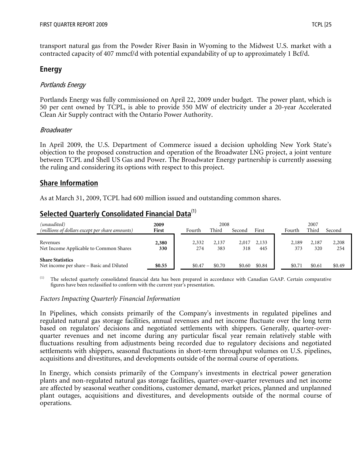transport natural gas from the Powder River Basin in Wyoming to the Midwest U.S. market with a contracted capacity of 407 mmcf/d with potential expandability of up to approximately 1 Bcf/d.

# **Energy**

## Portlands Energy

Portlands Energy was fully commissioned on April 22, 2009 under budget. The power plant, which is 50 per cent owned by TCPL, is able to provide 550 MW of electricity under a 20-year Accelerated Clean Air Supply contract with the Ontario Power Authority.

## Broadwater

In April 2009, the U.S. Department of Commerce issued a decision upholding New York State's objection to the proposed construction and operation of the Broadwater LNG project, a joint venture between TCPL and Shell US Gas and Power. The Broadwater Energy partnership is currently assessing the ruling and considering its options with respect to this project.

# **Share Information**

As at March 31, 2009, TCPL had 600 million issued and outstanding common shares.

# **Selected Quarterly Consolidated Financial Data**(1)

| (unaudited)<br>(millions of dollars except per share amounts)       | 2009<br>First | Fourth       | 2008<br>Third | Second       | First        | Fourth       | 2007<br>Third | Second       |
|---------------------------------------------------------------------|---------------|--------------|---------------|--------------|--------------|--------------|---------------|--------------|
| Revenues<br>Net Income Applicable to Common Shares                  | 2,380<br>330  | 2,332<br>274 | 2,137<br>383  | 2.017<br>318 | 2,133<br>445 | 2,189<br>373 | 2,187<br>320  | 2,208<br>254 |
| <b>Share Statistics</b><br>Net income per share – Basic and Diluted | \$0.55        | \$0.47       | \$0.70        | \$0.60       | \$0.84       | \$0.71       | \$0.61        | \$0.49       |

(1) The selected quarterly consolidated financial data has been prepared in accordance with Canadian GAAP. Certain comparative figures have been reclassified to conform with the current year's presentation.

## *Factors Impacting Quarterly Financial Information*

In Pipelines, which consists primarily of the Company's investments in regulated pipelines and regulated natural gas storage facilities, annual revenues and net income fluctuate over the long term based on regulators' decisions and negotiated settlements with shippers. Generally, quarter-overquarter revenues and net income during any particular fiscal year remain relatively stable with fluctuations resulting from adjustments being recorded due to regulatory decisions and negotiated settlements with shippers, seasonal fluctuations in short-term throughput volumes on U.S. pipelines, acquisitions and divestitures, and developments outside of the normal course of operations.

In Energy, which consists primarily of the Company's investments in electrical power generation plants and non-regulated natural gas storage facilities, quarter-over-quarter revenues and net income are affected by seasonal weather conditions, customer demand, market prices, planned and unplanned plant outages, acquisitions and divestitures, and developments outside of the normal course of operations.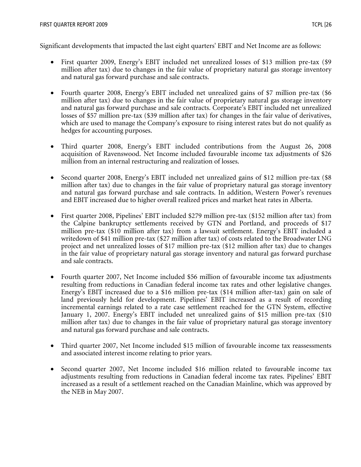Significant developments that impacted the last eight quarters' EBIT and Net Income are as follows:

- First quarter 2009, Energy's EBIT included net unrealized losses of \$13 million pre-tax (\$9) million after tax) due to changes in the fair value of proprietary natural gas storage inventory and natural gas forward purchase and sale contracts.
- Fourth quarter 2008, Energy's EBIT included net unrealized gains of \$7 million pre-tax (\$6 million after tax) due to changes in the fair value of proprietary natural gas storage inventory and natural gas forward purchase and sale contracts. Corporate's EBIT included net unrealized losses of \$57 million pre-tax (\$39 million after tax) for changes in the fair value of derivatives, which are used to manage the Company's exposure to rising interest rates but do not qualify as hedges for accounting purposes.
- Third quarter 2008, Energy's EBIT included contributions from the August 26, 2008 acquisition of Ravenswood. Net Income included favourable income tax adjustments of \$26 million from an internal restructuring and realization of losses.
- Second quarter 2008, Energy's EBIT included net unrealized gains of \$12 million pre-tax (\$8 million after tax) due to changes in the fair value of proprietary natural gas storage inventory and natural gas forward purchase and sale contracts. In addition, Western Power's revenues and EBIT increased due to higher overall realized prices and market heat rates in Alberta.
- First quarter 2008, Pipelines' EBIT included \$279 million pre-tax (\$152 million after tax) from the Calpine bankruptcy settlements received by GTN and Portland, and proceeds of \$17 million pre-tax (\$10 million after tax) from a lawsuit settlement. Energy's EBIT included a writedown of \$41 million pre-tax (\$27 million after tax) of costs related to the Broadwater LNG project and net unrealized losses of \$17 million pre-tax (\$12 million after tax) due to changes in the fair value of proprietary natural gas storage inventory and natural gas forward purchase and sale contracts.
- Fourth quarter 2007, Net Income included \$56 million of favourable income tax adjustments resulting from reductions in Canadian federal income tax rates and other legislative changes. Energy's EBIT increased due to a \$16 million pre-tax (\$14 million after-tax) gain on sale of land previously held for development. Pipelines' EBIT increased as a result of recording incremental earnings related to a rate case settlement reached for the GTN System, effective January 1, 2007. Energy's EBIT included net unrealized gains of \$15 million pre-tax (\$10 million after tax) due to changes in the fair value of proprietary natural gas storage inventory and natural gas forward purchase and sale contracts.
- Third quarter 2007, Net Income included \$15 million of favourable income tax reassessments and associated interest income relating to prior years.
- Second quarter 2007, Net Income included \$16 million related to favourable income tax adjustments resulting from reductions in Canadian federal income tax rates. Pipelines' EBIT increased as a result of a settlement reached on the Canadian Mainline, which was approved by the NEB in May 2007.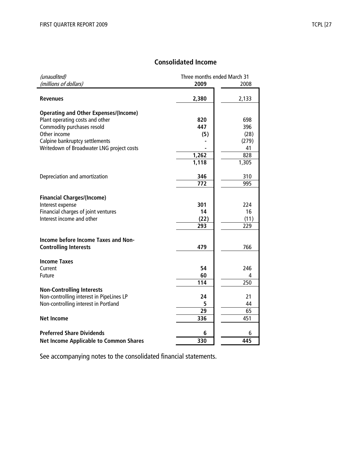# **Consolidated Income**

| (unaudited)                                   | Three months ended March 31 |       |  |
|-----------------------------------------------|-----------------------------|-------|--|
| (millions of dollars)                         | 2009                        | 2008  |  |
|                                               |                             |       |  |
| <b>Revenues</b>                               | 2,380                       | 2,133 |  |
|                                               |                             |       |  |
| <b>Operating and Other Expenses/(Income)</b>  |                             |       |  |
| Plant operating costs and other               | 820                         | 698   |  |
| Commodity purchases resold                    | 447                         | 396   |  |
| Other income                                  | (5)                         | (28)  |  |
| Calpine bankruptcy settlements                |                             | (279) |  |
| Writedown of Broadwater LNG project costs     |                             | 41    |  |
|                                               | 1,262                       | 828   |  |
|                                               | 1,118                       | 1,305 |  |
| Depreciation and amortization                 | 346                         | 310   |  |
|                                               | 772                         | 995   |  |
|                                               |                             |       |  |
| <b>Financial Charges/(Income)</b>             |                             |       |  |
| Interest expense                              | 301                         | 224   |  |
| Financial charges of joint ventures           | 14                          | 16    |  |
| Interest income and other                     | (22)                        | (11)  |  |
|                                               | 293                         | 229   |  |
|                                               |                             |       |  |
| Income before Income Taxes and Non-           |                             |       |  |
| <b>Controlling Interests</b>                  | 479                         | 766   |  |
|                                               |                             |       |  |
| <b>Income Taxes</b>                           |                             |       |  |
| Current                                       | 54                          | 246   |  |
| Future                                        | 60                          | 4     |  |
|                                               | 114                         | 250   |  |
| <b>Non-Controlling Interests</b>              |                             |       |  |
| Non-controlling interest in PipeLines LP      | 24                          | 21    |  |
| Non-controlling interest in Portland          | 5                           | 44    |  |
|                                               | 29                          | 65    |  |
| <b>Net Income</b>                             | 336                         | 451   |  |
|                                               |                             |       |  |
| <b>Preferred Share Dividends</b>              | 6                           | 6     |  |
| <b>Net Income Applicable to Common Shares</b> | 330                         | 445   |  |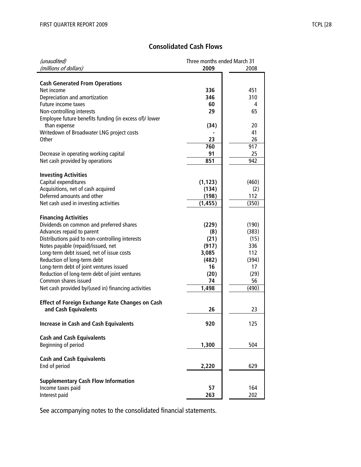# **Consolidated Cash Flows**

| (unaudited)                                            | Three months ended March 31 |       |
|--------------------------------------------------------|-----------------------------|-------|
| (millions of dollars)                                  | 2009                        | 2008  |
|                                                        |                             |       |
| <b>Cash Generated From Operations</b>                  |                             |       |
| Net income                                             | 336                         | 451   |
| Depreciation and amortization                          | 346                         | 310   |
| Future income taxes                                    | 60                          | 4     |
| Non-controlling interests                              | 29                          | 65    |
| Employee future benefits funding (in excess of)/ lower |                             |       |
| than expense                                           | (34)                        | 20    |
| Writedown of Broadwater LNG project costs              |                             | 41    |
| Other                                                  | 23                          | 26    |
|                                                        | 760                         | 917   |
| Decrease in operating working capital                  | 91                          | 25    |
| Net cash provided by operations                        | 851                         | 942   |
|                                                        |                             |       |
| <b>Investing Activities</b>                            |                             |       |
| Capital expenditures                                   |                             | (460) |
| Acquisitions, net of cash acquired                     | (1, 123)<br>(134)           |       |
| Deferred amounts and other                             |                             | (2)   |
|                                                        | (198)                       | 112   |
| Net cash used in investing activities                  | (1, 455)                    | (350) |
|                                                        |                             |       |
| <b>Financing Activities</b>                            |                             |       |
| Dividends on common and preferred shares               | (229)                       | (190) |
| Advances repaid to parent                              | (8)                         | (383) |
| Distributions paid to non-controlling interests        | (21)                        | (15)  |
| Notes payable (repaid)/issued, net                     | (917)                       | 336   |
| Long-term debt issued, net of issue costs              | 3,085                       | 112   |
| Reduction of long-term debt                            | (482)                       | (394) |
| Long-term debt of joint ventures issued                | 16                          | 17    |
| Reduction of long-term debt of joint ventures          | (20)                        | (29)  |
| Common shares issued                                   | 74                          | 56    |
| Net cash provided by/(used in) financing activities    | 1,498                       | (490) |
|                                                        |                             |       |
| <b>Effect of Foreign Exchange Rate Changes on Cash</b> |                             |       |
| and Cash Equivalents                                   | 26                          | 23    |
|                                                        |                             |       |
| <b>Increase in Cash and Cash Equivalents</b>           | 920                         | 125   |
|                                                        |                             |       |
| <b>Cash and Cash Equivalents</b>                       |                             |       |
| Beginning of period                                    | 1,300                       | 504   |
|                                                        |                             |       |
| <b>Cash and Cash Equivalents</b>                       |                             |       |
| End of period                                          | 2,220                       | 629   |
|                                                        |                             |       |
| <b>Supplementary Cash Flow Information</b>             |                             |       |
| Income taxes paid                                      | 57                          | 164   |
| Interest paid                                          | 263                         | 202   |
|                                                        |                             |       |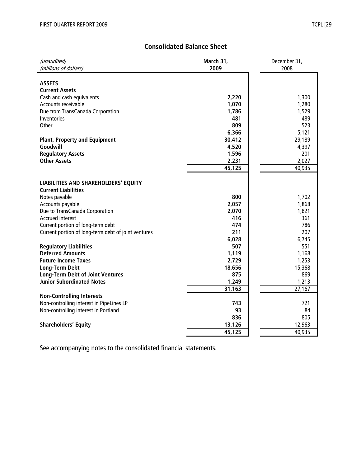# **Consolidated Balance Sheet**

| (unaudited)                                         | March 31, | December 31, |
|-----------------------------------------------------|-----------|--------------|
| (millions of dollars)                               | 2009      | 2008         |
|                                                     |           |              |
| <b>ASSETS</b>                                       |           |              |
| <b>Current Assets</b>                               |           |              |
| Cash and cash equivalents                           | 2,220     | 1,300        |
| Accounts receivable                                 | 1,070     | 1,280        |
| Due from TransCanada Corporation                    | 1,786     | 1,529        |
| Inventories                                         | 481       | 489          |
| Other                                               | 809       | 523          |
|                                                     | 6,366     | 5,121        |
| <b>Plant, Property and Equipment</b>                | 30,412    | 29,189       |
| Goodwill                                            | 4,520     | 4,397        |
| <b>Regulatory Assets</b>                            | 1,596     | 201          |
| <b>Other Assets</b>                                 | 2,231     | 2,027        |
|                                                     | 45,125    | 40,935       |
|                                                     |           |              |
| <b>LIABILITIES AND SHAREHOLDERS' EQUITY</b>         |           |              |
| <b>Current Liabilities</b>                          |           |              |
| Notes payable                                       | 800       | 1,702        |
| Accounts payable                                    | 2,057     | 1,868        |
| Due to TransCanada Corporation                      | 2,070     | 1,821        |
| <b>Accrued interest</b>                             | 416       | 361          |
| Current portion of long-term debt                   | 474       | 786          |
| Current portion of long-term debt of joint ventures | 211       | 207          |
|                                                     | 6,028     | 6,745        |
| <b>Regulatory Liabilities</b>                       | 507       | 551          |
| <b>Deferred Amounts</b>                             | 1,119     | 1,168        |
| <b>Future Income Taxes</b>                          | 2,729     | 1,253        |
| <b>Long-Term Debt</b>                               | 18,656    | 15,368       |
| <b>Long-Term Debt of Joint Ventures</b>             | 875       | 869          |
| <b>Junior Subordinated Notes</b>                    | 1,249     | 1,213        |
|                                                     | 31,163    | 27,167       |
| <b>Non-Controlling Interests</b>                    |           |              |
| Non-controlling interest in PipeLines LP            | 743       | 721          |
| Non-controlling interest in Portland                | 93        | 84           |
|                                                     | 836       | 805          |
| <b>Shareholders' Equity</b>                         | 13,126    | 12,963       |
|                                                     | 45,125    | 40,935       |
|                                                     |           |              |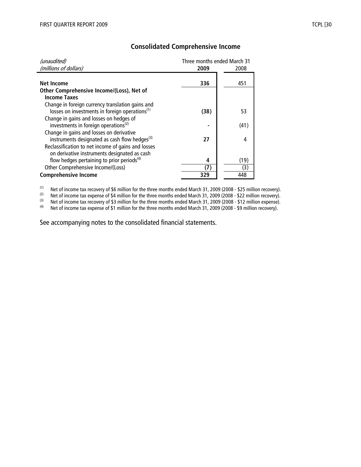| (unaudited)                                                                                           |      | Three months ended March 31 |  |  |
|-------------------------------------------------------------------------------------------------------|------|-----------------------------|--|--|
| (millions of dollars)                                                                                 | 2009 | 2008                        |  |  |
| <b>Net Income</b>                                                                                     | 336  | 451                         |  |  |
| Other Comprehensive Income/(Loss), Net of                                                             |      |                             |  |  |
| <b>Income Taxes</b>                                                                                   |      |                             |  |  |
| Change in foreign currency translation gains and                                                      |      |                             |  |  |
| losses on investments in foreign operations <sup>(1)</sup>                                            | (38) | 53                          |  |  |
| Change in gains and losses on hedges of                                                               |      |                             |  |  |
| investments in foreign operations <sup>(2)</sup>                                                      |      | (41)                        |  |  |
| Change in gains and losses on derivative<br>instruments designated as cash flow hedges <sup>(3)</sup> | 27   | 4                           |  |  |
| Reclassification to net income of gains and losses                                                    |      |                             |  |  |
| on derivative instruments designated as cash                                                          |      |                             |  |  |
| flow hedges pertaining to prior periods <sup>(4)</sup>                                                | 4    | (19)                        |  |  |
| Other Comprehensive Income/(Loss)                                                                     | (7)  | (3)                         |  |  |
| <b>Comprehensive Income</b>                                                                           | 329  | 448                         |  |  |
|                                                                                                       |      |                             |  |  |

# **Consolidated Comprehensive Income**

(1) Net of income tax recovery of \$6 million for the three months ended March 31, 2009 (2008 - \$25 million recovery).<br>(2) Net of income tax expense of \$4 million for the three months ended March 31, 2009 (2008 - \$22 milli

(2) Net of income tax expense of \$4 million for the three months ended March 31, 2009 (2008 - \$22 million recovery).<br>Net of income tax recovery of \$3 million for the three months ended March 31, 2009 (2008 - \$12 million e

(3) Net of income tax recovery of \$3 million for the three months ended March 31, 2009 (2008 - \$12 million expense).<br>(4) Net of income tax expense of \$1 million for the three months ended March 31, 2009 (2008 - \$9 million

Net of income tax expense of \$1 million for the three months ended March 31, 2009 (2008 - \$9 million recovery).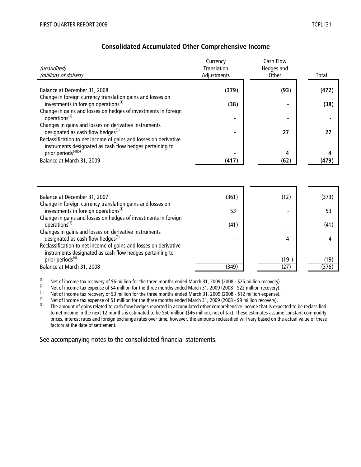|                                                                                                                              | Currency           | Cash Flow  |       |
|------------------------------------------------------------------------------------------------------------------------------|--------------------|------------|-------|
| (unaudited)                                                                                                                  | <b>Translation</b> | Hedges and |       |
| (millions of dollars)                                                                                                        | Adjustments        | Other      | Total |
| Balance at December 31, 2008                                                                                                 | (379)              | (93)       | (472) |
| Change in foreign currency translation gains and losses on                                                                   |                    |            |       |
| investments in foreign operations <sup>(1)</sup>                                                                             | (38)               |            | (38)  |
| Change in gains and losses on hedges of investments in foreign<br>operations <sup>(2)</sup>                                  |                    |            |       |
| Changes in gains and losses on derivative instruments<br>designated as cash flow hedges <sup>(3)</sup>                       |                    | 27         | 27    |
| Reclassification to net income of gains and losses on derivative<br>instruments designated as cash flow hedges pertaining to |                    |            |       |
| prior periods <sup>(4)(5)</sup>                                                                                              |                    | 4          | 4     |
| Balance at March 31, 2009                                                                                                    | (417)              | (62)       | (479) |
|                                                                                                                              |                    |            |       |
| Balance at December 31, 2007                                                                                                 | (361)              | (12)       | (373) |
| Change in foreign currency translation gains and losses on<br>investments in foreign operations <sup>(1)</sup>               | 53                 |            | 53    |
| Change in gains and losses on hedges of investments in foreign<br>operations <sup>(2)</sup>                                  | (41)               |            | (41)  |
| Changes in gains and losses on derivative instruments<br>designated as cash flow hedges <sup>(3)</sup>                       |                    | 4          | 4     |
| Reclassification to net income of gains and losses on derivative<br>instruments designated as cash flow hedges pertaining to |                    |            |       |
| prior periods <sup>(4)</sup>                                                                                                 |                    | (19)       | (19)  |
| Balance at March 31, 2008                                                                                                    | (349)              | (27)       | (376) |

#### **Consolidated Accumulated Other Comprehensive Income**

(1) Net of income tax recovery of \$6 million for the three months ended March 31, 2009 (2008 - \$25 million recovery).<br>(2) Net of income tax expense of \$4 million for the three months ended March 31, 2009 (2008 - \$22 milli

(2) Net of income tax expense of \$4 million for the three months ended March 31, 2009 (2008 - \$22 million recovery).<br>(3) Net of income tax recovery of \$3 million for the three months ended March 31, 2009 (2008 - \$12 milli

(3) Net of income tax recovery of \$3 million for the three months ended March 31, 2009 (2008 - \$12 million expense).<br>(4) Net of income tax expense of \$1 million for the three months ended March 31, 2009 (2008 - \$9 million

(4) Net of income tax expense of \$1 million for the three months ended March 31, 2009 (2008 - \$9 million recovery).<br>(5) The amount of gains related to cash flow bedges reported in accumulated other comprehensive income th

The amount of gains related to cash flow hedges reported in accumulated other comprehensive income that is expected to be reclassified to net income in the next 12 months is estimated to be \$50 million (\$46 million, net of tax). These estimates assume constant commodity prices, interest rates and foreign exchange rates over time, however, the amounts reclassified will vary based on the actual value of these factors at the date of settlement.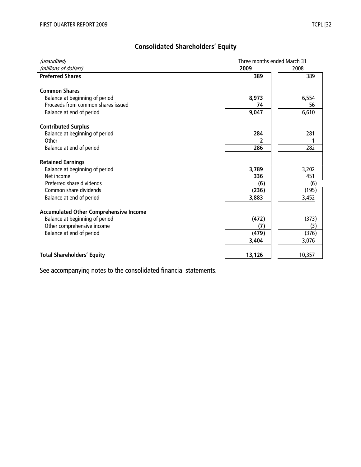# **Consolidated Shareholders' Equity**

| (unaudited)                                   |        | Three months ended March 31 |  |  |
|-----------------------------------------------|--------|-----------------------------|--|--|
| (millions of dollars)                         | 2009   | 2008                        |  |  |
| <b>Preferred Shares</b>                       | 389    | 389                         |  |  |
| <b>Common Shares</b>                          |        |                             |  |  |
| Balance at beginning of period                | 8,973  | 6,554                       |  |  |
| Proceeds from common shares issued            | 74     | 56                          |  |  |
| Balance at end of period                      | 9,047  | 6,610                       |  |  |
| <b>Contributed Surplus</b>                    |        |                             |  |  |
| Balance at beginning of period                | 284    | 281                         |  |  |
| Other                                         | 2      |                             |  |  |
| Balance at end of period                      | 286    | 282                         |  |  |
| <b>Retained Earnings</b>                      |        |                             |  |  |
| Balance at beginning of period                | 3,789  | 3,202                       |  |  |
| Net income                                    | 336    | 451                         |  |  |
| Preferred share dividends                     | (6)    | (6)                         |  |  |
| Common share dividends                        | (236)  | (195)                       |  |  |
| Balance at end of period                      | 3,883  | 3,452                       |  |  |
| <b>Accumulated Other Comprehensive Income</b> |        |                             |  |  |
| Balance at beginning of period                | (472)  | (373)                       |  |  |
| Other comprehensive income                    | (7)    | (3)                         |  |  |
| Balance at end of period                      | (479)  | (376)                       |  |  |
|                                               | 3,404  | 3,076                       |  |  |
| <b>Total Shareholders' Equity</b>             | 13,126 | 10,357                      |  |  |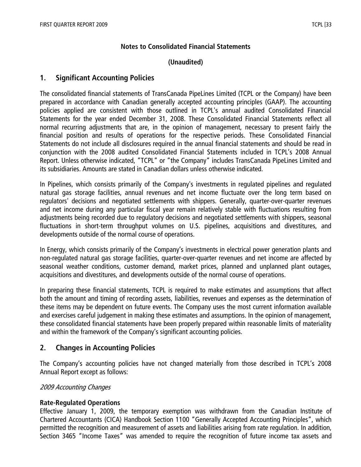## **Notes to Consolidated Financial Statements**

## **(Unaudited)**

# **1. Significant Accounting Policies**

The consolidated financial statements of TransCanada PipeLines Limited (TCPL or the Company) have been prepared in accordance with Canadian generally accepted accounting principles (GAAP). The accounting policies applied are consistent with those outlined in TCPL's annual audited Consolidated Financial Statements for the year ended December 31, 2008. These Consolidated Financial Statements reflect all normal recurring adjustments that are, in the opinion of management, necessary to present fairly the financial position and results of operations for the respective periods. These Consolidated Financial Statements do not include all disclosures required in the annual financial statements and should be read in conjunction with the 2008 audited Consolidated Financial Statements included in TCPL's 2008 Annual Report. Unless otherwise indicated, "TCPL" or "the Company" includes TransCanada PipeLines Limited and its subsidiaries. Amounts are stated in Canadian dollars unless otherwise indicated.

In Pipelines, which consists primarily of the Company's investments in regulated pipelines and regulated natural gas storage facilities, annual revenues and net income fluctuate over the long term based on regulators' decisions and negotiated settlements with shippers. Generally, quarter-over-quarter revenues and net income during any particular fiscal year remain relatively stable with fluctuations resulting from adjustments being recorded due to regulatory decisions and negotiated settlements with shippers, seasonal fluctuations in short-term throughput volumes on U.S. pipelines, acquisitions and divestitures, and developments outside of the normal course of operations.

In Energy, which consists primarily of the Company's investments in electrical power generation plants and non-regulated natural gas storage facilities, quarter-over-quarter revenues and net income are affected by seasonal weather conditions, customer demand, market prices, planned and unplanned plant outages, acquisitions and divestitures, and developments outside of the normal course of operations.

In preparing these financial statements, TCPL is required to make estimates and assumptions that affect both the amount and timing of recording assets, liabilities, revenues and expenses as the determination of these items may be dependent on future events. The Company uses the most current information available and exercises careful judgement in making these estimates and assumptions. In the opinion of management, these consolidated financial statements have been properly prepared within reasonable limits of materiality and within the framework of the Company's significant accounting policies.

# **2. Changes in Accounting Policies**

The Company's accounting policies have not changed materially from those described in TCPL's 2008 Annual Report except as follows:

# 2009 Accounting Changes

# **Rate-Regulated Operations**

Effective January 1, 2009, the temporary exemption was withdrawn from the Canadian Institute of Chartered Accountants (CICA) Handbook Section 1100 "Generally Accepted Accounting Principles", which permitted the recognition and measurement of assets and liabilities arising from rate regulation. In addition, Section 3465 "Income Taxes" was amended to require the recognition of future income tax assets and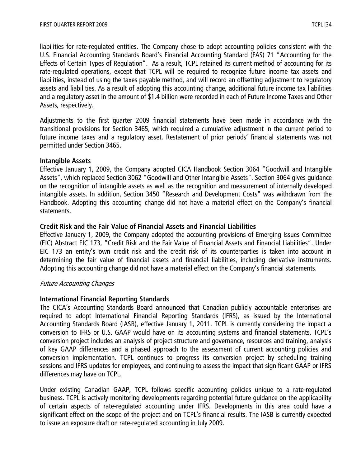liabilities for rate-regulated entities. The Company chose to adopt accounting policies consistent with the U.S. Financial Accounting Standards Board's Financial Accounting Standard (FAS) 71 "Accounting for the Effects of Certain Types of Regulation". As a result, TCPL retained its current method of accounting for its rate-regulated operations, except that TCPL will be required to recognize future income tax assets and liabilities, instead of using the taxes payable method, and will record an offsetting adjustment to regulatory assets and liabilities. As a result of adopting this accounting change, additional future income tax liabilities and a regulatory asset in the amount of \$1.4 billion were recorded in each of Future Income Taxes and Other Assets, respectively.

Adjustments to the first quarter 2009 financial statements have been made in accordance with the transitional provisions for Section 3465, which required a cumulative adjustment in the current period to future income taxes and a regulatory asset. Restatement of prior periods' financial statements was not permitted under Section 3465.

#### **Intangible Assets**

Effective January 1, 2009, the Company adopted CICA Handbook Section 3064 "Goodwill and Intangible Assets", which replaced Section 3062 "Goodwill and Other Intangible Assets". Section 3064 gives guidance on the recognition of intangible assets as well as the recognition and measurement of internally developed intangible assets. In addition, Section 3450 "Research and Development Costs" was withdrawn from the Handbook. Adopting this accounting change did not have a material effect on the Company's financial statements.

## **Credit Risk and the Fair Value of Financial Assets and Financial Liabilities**

Effective January 1, 2009, the Company adopted the accounting provisions of Emerging Issues Committee (EIC) Abstract EIC 173, "Credit Risk and the Fair Value of Financial Assets and Financial Liabilities". Under EIC 173 an entity's own credit risk and the credit risk of its counterparties is taken into account in determining the fair value of financial assets and financial liabilities, including derivative instruments. Adopting this accounting change did not have a material effect on the Company's financial statements.

## Future Accounting Changes

## **International Financial Reporting Standards**

The CICA's Accounting Standards Board announced that Canadian publicly accountable enterprises are required to adopt International Financial Reporting Standards (IFRS), as issued by the International Accounting Standards Board (IASB), effective January 1, 2011. TCPL is currently considering the impact a conversion to IFRS or U.S. GAAP would have on its accounting systems and financial statements. TCPL's conversion project includes an analysis of project structure and governance, resources and training, analysis of key GAAP differences and a phased approach to the assessment of current accounting policies and conversion implementation. TCPL continues to progress its conversion project by scheduling training sessions and IFRS updates for employees, and continuing to assess the impact that significant GAAP or IFRS differences may have on TCPL.

Under existing Canadian GAAP, TCPL follows specific accounting policies unique to a rate-regulated business. TCPL is actively monitoring developments regarding potential future guidance on the applicability of certain aspects of rate-regulated accounting under IFRS. Developments in this area could have a significant effect on the scope of the project and on TCPL's financial results. The IASB is currently expected to issue an exposure draft on rate-regulated accounting in July 2009.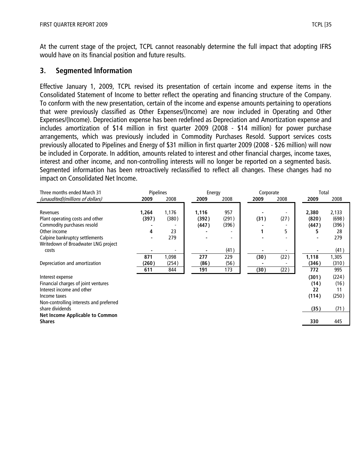At the current stage of the project, TCPL cannot reasonably determine the full impact that adopting IFRS would have on its financial position and future results.

## **3. Segmented Information**

Effective January 1, 2009, TCPL revised its presentation of certain income and expense items in the Consolidated Statement of Income to better reflect the operating and financing structure of the Company. To conform with the new presentation, certain of the income and expense amounts pertaining to operations that were previously classified as Other Expenses/(Income) are now included in Operating and Other Expenses/(Income). Depreciation expense has been redefined as Depreciation and Amortization expense and includes amortization of \$14 million in first quarter 2009 (2008 - \$14 million) for power purchase arrangements, which was previously included in Commodity Purchases Resold. Support services costs previously allocated to Pipelines and Energy of \$31 million in first quarter 2009 (2008 - \$26 million) will now be included in Corporate. In addition, amounts related to interest and other financial charges, income taxes, interest and other income, and non-controlling interests will no longer be reported on a segmented basis. Segmented information has been retroactively reclassified to reflect all changes. These changes had no impact on Consolidated Net Income.

| Three months ended March 31             | Pipelines |       | Energy |                          | Corporate |      | Total |       |
|-----------------------------------------|-----------|-------|--------|--------------------------|-----------|------|-------|-------|
| (unaudited)(millions of dollars)        | 2009      | 2008  | 2009   | 2008                     | 2009      | 2008 | 2009  | 2008  |
|                                         |           |       |        |                          |           |      |       |       |
| Revenues                                | 1,264     | 1,176 | 1,116  | 957                      |           |      | 2,380 | 2,133 |
| Plant operating costs and other         | (397)     | (380) | (392)  | (291)                    | (31)      | (27) | (820) | (698) |
| Commodity purchases resold              |           |       | (447)  | (396)                    |           |      | (447) | (396) |
| Other income                            | 4         | 23    |        | $\overline{\phantom{a}}$ |           | 5    |       | 28    |
| Calpine bankruptcy settlements          |           | 279   |        | ۰                        |           |      |       | 279   |
| Writedown of Broadwater LNG project     |           |       |        |                          |           |      |       |       |
| costs                                   |           |       |        | (41)                     |           |      |       | (41)  |
|                                         | 871       | 1,098 | 277    | 229                      | (30)      | (22) | 1,118 | 1,305 |
| Depreciation and amortization           | (260)     | (254) | (86)   | (56)                     |           |      | (346) | (310) |
|                                         | 611       | 844   | 191    | 173                      | (30)      | (22) | 772   | 995   |
| Interest expense                        |           |       |        |                          |           |      | (301) | (224) |
| Financial charges of joint ventures     |           |       |        |                          |           |      | (14)  | (16)  |
| Interest income and other               |           |       |        |                          |           |      | 22    | 11    |
| Income taxes                            |           |       |        |                          |           |      | (114) | (250) |
| Non-controlling interests and preferred |           |       |        |                          |           |      |       |       |
| share dividends                         |           |       |        |                          |           |      | (35)  | (71)  |
| Net Income Applicable to Common         |           |       |        |                          |           |      |       |       |
| <b>Shares</b>                           |           |       |        |                          |           |      | 330   | 445   |
|                                         |           |       |        |                          |           |      |       |       |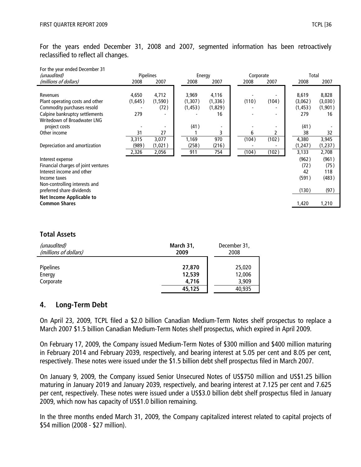For the years ended December 31, 2008 and 2007, segmented information has been retroactively reclassified to reflect all changes.

| For the year ended December 31<br>(unaudited)                                                                                                               | <b>Pipelines</b>        |                           | Energy                              |                                   | Corporate      |                | Total                                       |                                   |
|-------------------------------------------------------------------------------------------------------------------------------------------------------------|-------------------------|---------------------------|-------------------------------------|-----------------------------------|----------------|----------------|---------------------------------------------|-----------------------------------|
| (millions of dollars)                                                                                                                                       | 2008                    | 2007                      | 2008                                | 2007                              | 2008           | 2007           | 2008                                        | 2007                              |
| Revenues<br>Plant operating costs and other<br>Commodity purchases resold<br>Calpine bankruptcy settlements<br>Writedown of Broadwater LNG<br>project costs | 4,650<br>(1,645)<br>279 | 4,712<br>(1,590)<br>(72)  | 3,969<br>(1,307)<br>(1,453)<br>(41) | 4,116<br>(1,336)<br>(1,829)<br>16 | (110)          | (104)          | 8,619<br>(3,062)<br>(1, 453)<br>279<br>(41) | 8,828<br>(3,030)<br>(1,901)<br>16 |
| Other income                                                                                                                                                | 31                      | 27                        |                                     | 3                                 | 6              |                | 38                                          | 32                                |
| Depreciation and amortization                                                                                                                               | 3,315<br>(989)<br>2,326 | 3,077<br>(1,021)<br>2,056 | 1,169<br>(258)<br>911               | 970<br>(216)<br>754               | (104)<br>(104) | (102)<br>(102) | 4,380<br>(1,247)<br>3,133                   | 3,945<br>(1, 237)<br>2,708        |
| Interest expense<br>Financial charges of joint ventures<br>Interest income and other<br>Income taxes                                                        |                         |                           |                                     |                                   |                |                | (962)<br>(72)<br>42<br>(591)                | (961)<br>(75)<br>118<br>(483)     |
| Non-controlling interests and<br>preferred share dividends<br><b>Net Income Applicable to</b><br><b>Common Shares</b>                                       |                         |                           |                                     |                                   |                |                | (130)<br>1,420                              | (97)<br>1,210                     |

## **Total Assets**

| (unaudited)           | March 31, | December 31, |
|-----------------------|-----------|--------------|
| (millions of dollars) | 2009      | 2008         |
| <b>Pipelines</b>      | 27,870    | 25,020       |
| Energy                | 12,539    | 12,006       |
| Corporate             | 4,716     | 3,909        |
|                       | 45,125    | 40,935       |

## **4. Long-Term Debt**

On April 23, 2009, TCPL filed a \$2.0 billion Canadian Medium-Term Notes shelf prospectus to replace a March 2007 \$1.5 billion Canadian Medium-Term Notes shelf prospectus, which expired in April 2009.

On February 17, 2009, the Company issued Medium-Term Notes of \$300 million and \$400 million maturing in February 2014 and February 2039, respectively, and bearing interest at 5.05 per cent and 8.05 per cent, respectively. These notes were issued under the \$1.5 billion debt shelf prospectus filed in March 2007.

On January 9, 2009, the Company issued Senior Unsecured Notes of US\$750 million and US\$1.25 billion maturing in January 2019 and January 2039, respectively, and bearing interest at 7.125 per cent and 7.625 per cent, respectively. These notes were issued under a US\$3.0 billion debt shelf prospectus filed in January 2009, which now has capacity of US\$1.0 billion remaining.

In the three months ended March 31, 2009, the Company capitalized interest related to capital projects of \$54 million (2008 - \$27 million).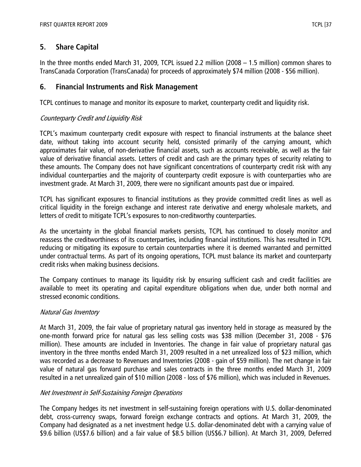# **5. Share Capital**

In the three months ended March 31, 2009, TCPL issued 2.2 million (2008 – 1.5 million) common shares to TransCanada Corporation (TransCanada) for proceeds of approximately \$74 million (2008 - \$56 million).

# **6. Financial Instruments and Risk Management**

TCPL continues to manage and monitor its exposure to market, counterparty credit and liquidity risk.

## Counterparty Credit and Liquidity Risk

TCPL's maximum counterparty credit exposure with respect to financial instruments at the balance sheet date, without taking into account security held, consisted primarily of the carrying amount, which approximates fair value, of non-derivative financial assets, such as accounts receivable, as well as the fair value of derivative financial assets. Letters of credit and cash are the primary types of security relating to these amounts. The Company does not have significant concentrations of counterparty credit risk with any individual counterparties and the majority of counterparty credit exposure is with counterparties who are investment grade. At March 31, 2009, there were no significant amounts past due or impaired.

TCPL has significant exposures to financial institutions as they provide committed credit lines as well as critical liquidity in the foreign exchange and interest rate derivative and energy wholesale markets, and letters of credit to mitigate TCPL's exposures to non-creditworthy counterparties.

As the uncertainty in the global financial markets persists, TCPL has continued to closely monitor and reassess the creditworthiness of its counterparties, including financial institutions. This has resulted in TCPL reducing or mitigating its exposure to certain counterparties where it is deemed warranted and permitted under contractual terms. As part of its ongoing operations, TCPL must balance its market and counterparty credit risks when making business decisions.

The Company continues to manage its liquidity risk by ensuring sufficient cash and credit facilities are available to meet its operating and capital expenditure obligations when due, under both normal and stressed economic conditions.

## Natural Gas Inventory

At March 31, 2009, the fair value of proprietary natural gas inventory held in storage as measured by the one-month forward price for natural gas less selling costs was \$38 million (December 31, 2008 - \$76 million). These amounts are included in Inventories. The change in fair value of proprietary natural gas inventory in the three months ended March 31, 2009 resulted in a net unrealized loss of \$23 million, which was recorded as a decrease to Revenues and Inventories (2008 - gain of \$59 million). The net change in fair value of natural gas forward purchase and sales contracts in the three months ended March 31, 2009 resulted in a net unrealized gain of \$10 million (2008 - loss of \$76 million), which was included in Revenues.

## Net Investment in Self-Sustaining Foreign Operations

The Company hedges its net investment in self-sustaining foreign operations with U.S. dollar-denominated debt, cross-currency swaps, forward foreign exchange contracts and options. At March 31, 2009, the Company had designated as a net investment hedge U.S. dollar-denominated debt with a carrying value of \$9.6 billion (US\$7.6 billion) and a fair value of \$8.5 billion (US\$6.7 billion). At March 31, 2009, Deferred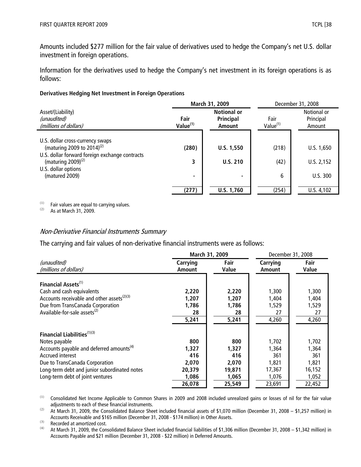Amounts included \$277 million for the fair value of derivatives used to hedge the Company's net U.S. dollar investment in foreign operations.

Information for the derivatives used to hedge the Company's net investment in its foreign operations is as follows:

#### **Derivatives Hedging Net Investment in Foreign Operations**

|                                                                                                |                                                                                  | March 31, 2009  | December 31, 2008            |                                    |  |
|------------------------------------------------------------------------------------------------|----------------------------------------------------------------------------------|-----------------|------------------------------|------------------------------------|--|
| Asset/(Liability)<br>(unaudited)<br>(millions of dollars)                                      | <b>Notional or</b><br>Fair<br><b>Principal</b><br>Value <sup>(1)</sup><br>Amount |                 | Fair<br>Value <sup>(1)</sup> | Notional or<br>Principal<br>Amount |  |
| U.S. dollar cross-currency swaps                                                               |                                                                                  |                 |                              |                                    |  |
| (maturing 2009 to 2014) <sup>(2)</sup>                                                         | (280)                                                                            | U.S. 1,550      | (218)                        | U.S. 1,650                         |  |
| U.S. dollar forward foreign exchange contracts<br>(maturing 2009) $(2)$<br>U.S. dollar options | 3                                                                                | <b>U.S. 210</b> | (42)                         | U.S. 2,152                         |  |
| (matured 2009)                                                                                 | ۰                                                                                |                 | 6                            | U.S. 300                           |  |
|                                                                                                | (277)                                                                            | U.S. 1,760      | (254)                        | U.S. 4,102                         |  |

(1) Fair values are equal to carrying values.<br>(2)  $\Delta s$  at March 31 2009

As at March 31, 2009.

#### Non-Derivative Financial Instruments Summary

The carrying and fair values of non-derivative financial instruments were as follows:

|                                                      |                 | March 31, 2009 | December 31, 2008 |        |
|------------------------------------------------------|-----------------|----------------|-------------------|--------|
| (unaudited)                                          | <b>Carrying</b> | Fair           | Carrying          | Fair   |
| (millions of dollars)                                | <b>Amount</b>   | Value          | <b>Amount</b>     | Value  |
|                                                      |                 |                |                   |        |
| Financial Assets <sup>(1)</sup>                      |                 |                |                   |        |
| Cash and cash equivalents                            | 2,220           | 2,220          | 1,300             | 1,300  |
| Accounts receivable and other assets $^{(2)(3)}$     | 1,207           | 1,207          | 1,404             | 1,404  |
| Due from TransCanada Corporation                     | 1,786           | 1,786          | 1,529             | 1,529  |
| Available-for-sale assets <sup>(2)</sup>             | 28              | 28             | 27                | 27     |
|                                                      | 5,241           | 5,241          | 4,260             | 4,260  |
|                                                      |                 |                |                   |        |
| Financial Liabilities <sup>(1)(3)</sup>              |                 |                |                   |        |
| Notes payable                                        | 800             | 800            | 1,702             | 1,702  |
| Accounts payable and deferred amounts <sup>(4)</sup> | 1,327           | 1,327          | 1,364             | 1,364  |
| Accrued interest                                     | 416             | 416            | 361               | 361    |
| Due to TransCanada Corporation                       | 2,070           | 2,070          | 1,821             | 1,821  |
| Long-term debt and junior subordinated notes         | 20,379          | 19,871         | 17,367            | 16,152 |
| Long-term debt of joint ventures                     | 1,086           | 1,065          | 1,076             | 1,052  |
|                                                      | 26,078          | 25,549         | 23,691            | 22,452 |

(1) Consolidated Net Income Applicable to Common Shares in 2009 and 2008 included unrealized gains or losses of nil for the fair value adjustments to each of these financial instruments.

(2) At March 31, 2009, the Consolidated Balance Sheet included financial assets of \$1,070 million (December 31, 2008 – \$1,257 million) in Accounts Receivable and \$165 million (December 31, 2008 - \$174 million) in Other Assets.

 $(3)$  Recorded at amortized cost.<br> $(4)$  At March 31, 2009, the Con

(4) At March 31, 2009, the Consolidated Balance Sheet included financial liabilities of \$1,306 million (December 31, 2008 – \$1,342 million) in Accounts Payable and \$21 million (December 31, 2008 - \$22 million) in Deferred Amounts.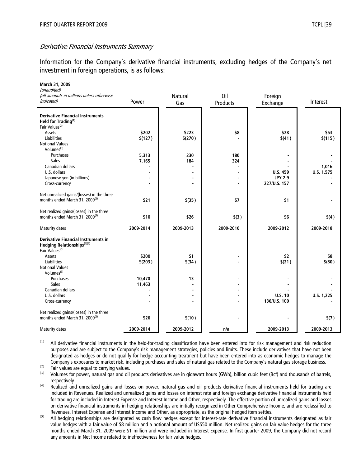**March 31, 2009** 

#### Derivative Financial Instruments Summary

Information for the Company's derivative financial instruments, excluding hedges of the Company's net investment in foreign operations, is as follows:

| כטט, נוסוויו<br>(unaudited)                                                |                |                |                                  |                 |            |
|----------------------------------------------------------------------------|----------------|----------------|----------------------------------|-----------------|------------|
| (all amounts in millions unless otherwise<br><i>indicated)</i>             |                | <b>Natural</b> | Oil                              | Foreign         |            |
|                                                                            | Power          | Gas            | Products                         | Exchange        | Interest   |
|                                                                            |                |                |                                  |                 |            |
| <b>Derivative Financial Instruments</b><br>Held for Trading <sup>(1)</sup> |                |                |                                  |                 |            |
| Fair Values <sup>(2)</sup>                                                 |                |                |                                  |                 |            |
| Assets                                                                     | \$202          | \$223          | \$8                              | \$28            | \$53       |
| <b>Liabilities</b>                                                         | \$(127)        | \$(270)        |                                  | \$(41)          | \$(115)    |
| <b>Notional Values</b>                                                     |                |                |                                  |                 |            |
| Volume <sup>(3)</sup>                                                      |                |                |                                  |                 |            |
| Purchases                                                                  | 5,313          | 230            | 180                              |                 |            |
| Sales                                                                      | 7,165          | 184            | 324                              |                 |            |
| Canadian dollars                                                           |                |                | $\blacksquare$                   |                 | 1,016      |
| U.S. dollars                                                               | $\blacksquare$ |                | $\ddot{\phantom{1}}$             | <b>U.S. 459</b> | U.S. 1,575 |
| Japanese yen (in billions)                                                 |                |                |                                  | <b>JPY 2.9</b>  |            |
| Cross-currency                                                             |                |                | $\blacksquare$                   | 227/U.S. 157    |            |
| Net unrealized gains/(losses) in the three                                 |                |                |                                  |                 |            |
| months ended March 31, 2009 <sup>(4)</sup>                                 | \$21           | \$(35)         | \$7                              | \$1             |            |
|                                                                            |                |                |                                  |                 |            |
| Net realized gains/(losses) in the three                                   |                |                |                                  |                 |            |
| months ended March 31, 2009 <sup>(4)</sup>                                 | \$10           | \$26           | \$(3)                            | \$6             | \$(4)      |
|                                                                            |                |                |                                  |                 |            |
| <b>Maturity dates</b>                                                      | 2009-2014      | 2009-2013      | 2009-2010                        | 2009-2012       | 2009-2018  |
| <b>Derivative Financial Instruments in</b>                                 |                |                |                                  |                 |            |
| Hedging Relationships <sup>(5)(6)</sup>                                    |                |                |                                  |                 |            |
| Fair Values <sup>(2)</sup>                                                 |                |                |                                  |                 |            |
| Assets                                                                     | \$200          | \$1            |                                  | \$2             | \$8        |
| <b>Liabilities</b>                                                         | \$(203)        | \$(34)         | $\overline{a}$                   | \$(21)          | \$(80)     |
| <b>Notional Values</b>                                                     |                |                |                                  |                 |            |
| Volumes <sup>(3)</sup>                                                     |                |                |                                  |                 |            |
| Purchases<br>Sales                                                         | 10,470         | 13             | $\blacksquare$                   |                 |            |
| Canadian dollars                                                           | 11,463         |                | $\blacksquare$<br>$\blacksquare$ |                 |            |
| U.S. dollars                                                               |                |                | $\blacksquare$                   | <b>U.S. 10</b>  | U.S. 1,225 |
| Cross-currency                                                             | $\overline{a}$ | $\overline{a}$ | ÷                                | 136/U.S. 100    |            |
|                                                                            |                |                |                                  |                 |            |
| Net realized gains/(losses) in the three                                   |                |                |                                  |                 |            |
| months ended March 31, 2009 <sup>(4)</sup>                                 | \$26           | \$(10)         |                                  |                 | \$(7)      |
|                                                                            |                |                |                                  |                 |            |
| Maturity dates                                                             | 2009-2014      | 2009-2012      | n/a                              | 2009-2013       | 2009-2013  |

<sup>(1)</sup> All derivative financial instruments in the held-for-trading classification have been entered into for risk management and risk reduction purposes and are subject to the Company's risk management strategies, policies and limits. These include derivatives that have not been designated as hedges or do not qualify for hedge accounting treatment but have been entered into as economic hedges to manage the Company's exposures to market risk, including purchases and sales of natural gas related to the Company's natural gas storage business.

 $(2)$  Fair values are equal to carrying values.<br> $(3)$  Volumes for nower natural gas and oil

(3) Volumes for power, natural gas and oil products derivatives are in gigawatt hours (GWh), billion cubic feet (Bcf) and thousands of barrels, respectively.

(4) Realized and unrealized gains and losses on power, natural gas and oil products derivative financial instruments held for trading are included in Revenues. Realized and unrealized gains and losses on interest rate and foreign exchange derivative financial instruments held for trading are included in Interest Expense and Interest Income and Other, respectively. The effective portion of unrealized gains and losses on derivative financial instruments in hedging relationships are initially recognized in Other Comprehensive Income, and are reclassified to Revenues, Interest Expense and Interest Income and Other, as appropriate, as the original hedged item settles.

<sup>(5)</sup> All hedging relationships are designated as cash flow hedges except for interest-rate derivative financial instruments designated as fair value hedges with a fair value of \$8 million and a notional amount of US\$50 million. Net realized gains on fair value hedges for the three months ended March 31, 2009 were \$1 million and were included in Interest Expense. In first quarter 2009, the Company did not record any amounts in Net Income related to ineffectiveness for fair value hedges.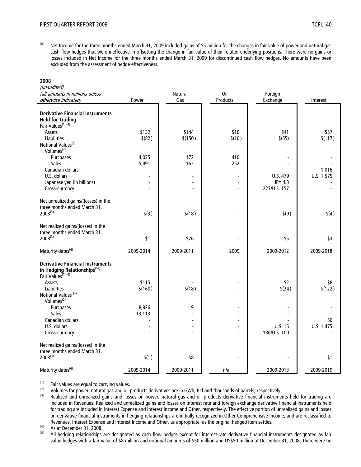$^{(6)}$  Net Income for the three months ended March 31, 2009 included gains of \$5 million for the changes in fair value of power and natural gas cash flow hedges that were ineffective in offsetting the change in fair value of their related underlying positions. There were no gains or losses included in Net Income for the three months ended March 31, 2009 for discontinued cash flow hedges. No amounts have been excluded from the assessment of hedge effectiveness.

| (unaudited)<br>(all amounts in millions unless                                                                          |                  | <b>Natural</b>   | Oil                  | Foreign                    |                  |
|-------------------------------------------------------------------------------------------------------------------------|------------------|------------------|----------------------|----------------------------|------------------|
| otherwise indicated)                                                                                                    | Power            | Gas              | Products             | Exchange                   | Interest         |
| <b>Derivative Financial Instruments</b><br><b>Held for Trading</b><br>Fair Values <sup>(1) (4)</sup>                    |                  |                  |                      |                            |                  |
| Assets<br>Liabilities<br>Notional Values <sup>(4)</sup>                                                                 | \$132<br>\$ (82) | \$144<br>\$(150) | \$10<br>\$(10)       | \$41<br>\$(55)             | \$57<br>\$(117)  |
| Volumes $(2)$                                                                                                           |                  |                  |                      |                            |                  |
| Purchases<br>Sales<br>Canadian dollars                                                                                  | 4,035<br>5,491   | 172<br>162       | 410<br>252           |                            | 1,016            |
| U.S. dollars<br>Japanese yen (in billions)                                                                              |                  |                  | L.<br>$\overline{a}$ | U.S. 479<br><b>JPY 4.3</b> | U.S. 1,575       |
| Cross-currency                                                                                                          |                  |                  |                      | 227/U.S. 157               |                  |
| Net unrealized gains/(losses) in the<br>three months ended March 31,<br>$2008^{(3)}$                                    | \$(3)            | \$(18)           |                      | \$(9)                      | \$(4)            |
| Net realized gains/(losses) in the<br>three months ended March 31,<br>$2008^{(3)}$                                      | \$1              | \$26             |                      | \$5                        | \$3              |
| Maturity dates <sup>(4)</sup>                                                                                           | 2009-2014        | 2009-2011        | 2009                 | 2009-2012                  | 2009-2018        |
| <b>Derivative Financial Instruments</b><br>in Hedging Relationships <sup>(5)(6)</sup><br>Fair Values <sup>(1) (4)</sup> |                  |                  |                      |                            |                  |
| Assets<br>Liabilities<br>Notional Values <sup>(4)</sup><br>Volumes <sup>(2)</sup>                                       | \$115<br>\$(160) | \$(18)           |                      | \$2<br>\$(24)              | \$8<br>\$(122)   |
| Purchases<br>Sales                                                                                                      | 8,926<br>13,113  | 9                |                      |                            |                  |
| Canadian dollars<br>U.S. dollars                                                                                        |                  | $\overline{a}$   |                      | <b>U.S. 15</b>             | 50<br>U.S. 1,475 |
| Cross-currency                                                                                                          |                  |                  |                      | 136/U.S. 100               |                  |
| Net realized gains/(losses) in the<br>three months ended March 31,                                                      |                  |                  |                      |                            |                  |
| $2008^{(3)}$                                                                                                            | \$(1)            | \$8              |                      |                            | \$1              |
| Maturity dates <sup>(4)</sup>                                                                                           | 2009-2014        | 2009-2011        | n/a                  | 2009-2013                  | 2009-2019        |

#### **2008**

(1) Fair values are equal to carrying values.<br>(2) Volumes for nower, patural are and eil

(2) Volumes for power, natural gas and oil products derivatives are in GWh, Bcf and thousands of barrels, respectively.<br>(3) Bealized and unrealized gains and losses on nower, natural gas and oil products derivative financ

Realized and unrealized gains and losses on power, natural gas and oil products derivative financial instruments held for trading are included in Revenues. Realized and unrealized gains and losses on interest rate and foreign exchange derivative financial instruments held for trading are included in Interest Expense and Interest Income and Other, respectively. The effective portion of unrealized gains and losses on derivative financial instruments in hedging relationships are initially recognized in Other Comprehensive Income, and are reclassified to Revenues, Interest Expense and Interest Income and Other, as appropriate, as the original hedged item settles.

 $^{(4)}$  As at December 31, 2008.

All hedging relationships are designated as cash flow hedges except for interest-rate derivative financial instruments designated as fair value hedges with a fair value of \$8 million and notional amounts of \$50 million and US\$50 million at December 31, 2008. There were no